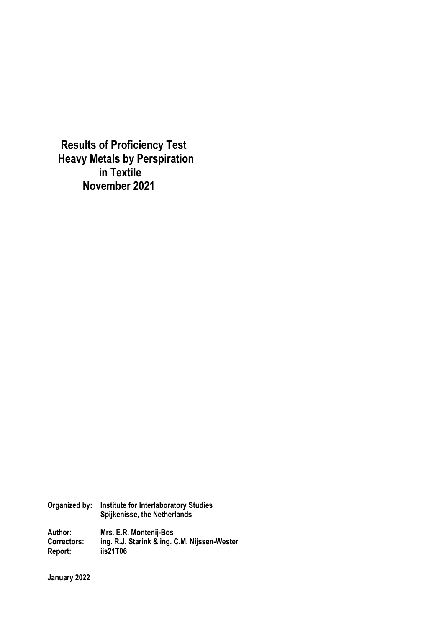**Results of Proficiency Test Heavy Metals by Perspiration in Textile November 2021**

**Organized by: Institute for Interlaboratory Studies Spijkenisse, the Netherlands** 

**Author: Mrs. E.R. Montenij-Bos Correctors: ing. R.J. Starink & ing. C.M. Nijssen-Wester Report: iis21T06** 

**January 2022**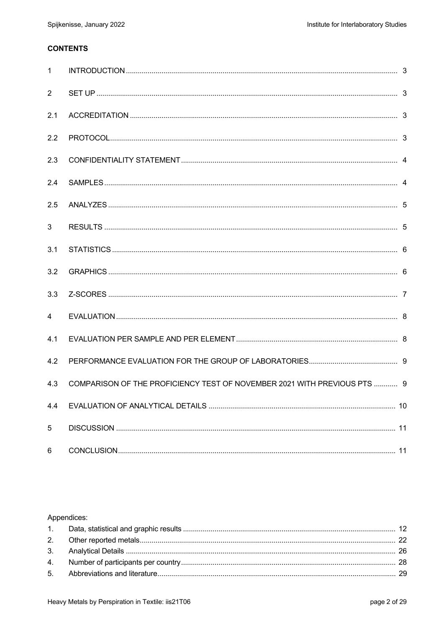# **CONTENTS**

| $\mathbf{1}$   |                                                                          |  |
|----------------|--------------------------------------------------------------------------|--|
| $\overline{2}$ |                                                                          |  |
| 2.1            |                                                                          |  |
| 2.2            |                                                                          |  |
| 2.3            |                                                                          |  |
| 2.4            |                                                                          |  |
| 2.5            |                                                                          |  |
| $\mathbf{3}$   |                                                                          |  |
| 3.1            |                                                                          |  |
| 3.2            |                                                                          |  |
| 3.3            |                                                                          |  |
| 4              |                                                                          |  |
| 4.1            |                                                                          |  |
| 4.2            |                                                                          |  |
| 4.3            | COMPARISON OF THE PROFICIENCY TEST OF NOVEMBER 2021 WITH PREVIOUS PTS  9 |  |
| 4.4            |                                                                          |  |
| $\sqrt{5}$     |                                                                          |  |
| 6              |                                                                          |  |

#### Appendices: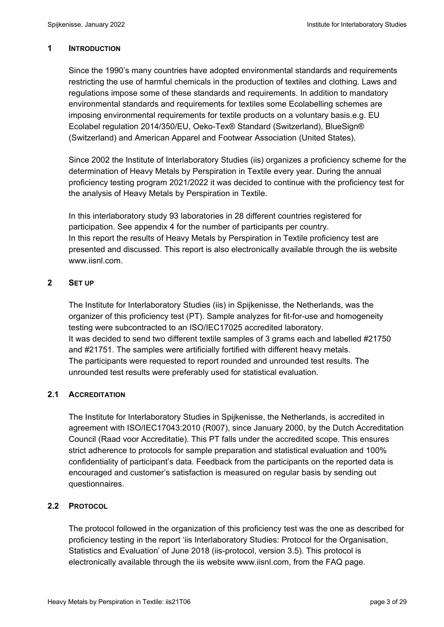#### **1 INTRODUCTION**

Since the 1990's many countries have adopted environmental standards and requirements restricting the use of harmful chemicals in the production of textiles and clothing. Laws and regulations impose some of these standards and requirements. In addition to mandatory environmental standards and requirements for textiles some Ecolabelling schemes are imposing environmental requirements for textile products on a voluntary basis.e.g. EU Ecolabel regulation 2014/350/EU, Oeko-Tex® Standard (Switzerland), BlueSign® (Switzerland) and American Apparel and Footwear Association (United States).

Since 2002 the Institute of Interlaboratory Studies (iis) organizes a proficiency scheme for the determination of Heavy Metals by Perspiration in Textile every year. During the annual proficiency testing program 2021/2022 it was decided to continue with the proficiency test for the analysis of Heavy Metals by Perspiration in Textile.

In this interlaboratory study 93 laboratories in 28 different countries registered for participation. See appendix 4 for the number of participants per country. In this report the results of Heavy Metals by Perspiration in Textile proficiency test are presented and discussed. This report is also electronically available through the iis website www.iisnl.com.

#### **2 SET UP**

The Institute for Interlaboratory Studies (iis) in Spijkenisse, the Netherlands, was the organizer of this proficiency test (PT). Sample analyzes for fit-for-use and homogeneity testing were subcontracted to an ISO/IEC17025 accredited laboratory. It was decided to send two different textile samples of 3 grams each and labelled #21750 and #21751. The samples were artificially fortified with different heavy metals. The participants were requested to report rounded and unrounded test results. The unrounded test results were preferably used for statistical evaluation.

#### **2.1 ACCREDITATION**

The Institute for Interlaboratory Studies in Spijkenisse, the Netherlands, is accredited in agreement with ISO/IEC17043:2010 (R007), since January 2000, by the Dutch Accreditation Council (Raad voor Accreditatie). This PT falls under the accredited scope. This ensures strict adherence to protocols for sample preparation and statistical evaluation and 100% confidentiality of participant's data. Feedback from the participants on the reported data is encouraged and customer's satisfaction is measured on regular basis by sending out questionnaires.

#### **2.2 PROTOCOL**

The protocol followed in the organization of this proficiency test was the one as described for proficiency testing in the report 'iis Interlaboratory Studies: Protocol for the Organisation, Statistics and Evaluation' of June 2018 (iis-protocol, version 3.5). This protocol is electronically available through the iis website www.iisnl.com, from the FAQ page.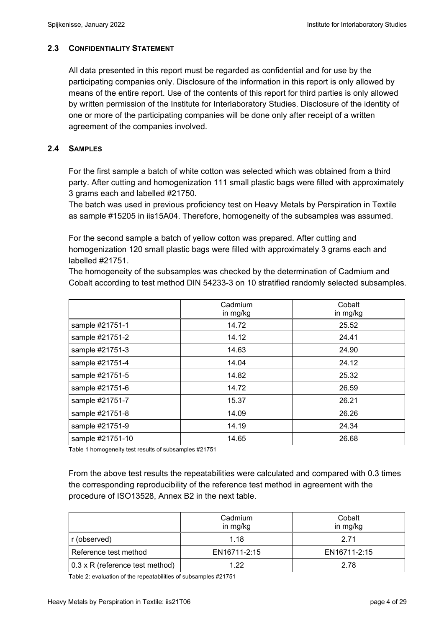#### **2.3 CONFIDENTIALITY STATEMENT**

All data presented in this report must be regarded as confidential and for use by the participating companies only. Disclosure of the information in this report is only allowed by means of the entire report. Use of the contents of this report for third parties is only allowed by written permission of the Institute for Interlaboratory Studies. Disclosure of the identity of one or more of the participating companies will be done only after receipt of a written agreement of the companies involved.

#### **2.4 SAMPLES**

For the first sample a batch of white cotton was selected which was obtained from a third party. After cutting and homogenization 111 small plastic bags were filled with approximately 3 grams each and labelled #21750.

The batch was used in previous proficiency test on Heavy Metals by Perspiration in Textile as sample #15205 in iis15A04. Therefore, homogeneity of the subsamples was assumed.

For the second sample a batch of yellow cotton was prepared. After cutting and homogenization 120 small plastic bags were filled with approximately 3 grams each and labelled #21751.

The homogeneity of the subsamples was checked by the determination of Cadmium and Cobalt according to test method DIN 54233-3 on 10 stratified randomly selected subsamples.

|                  | Cadmium<br>in mg/kg | Cobalt<br>in mg/kg |
|------------------|---------------------|--------------------|
| sample #21751-1  | 14.72               | 25.52              |
| sample #21751-2  | 14.12               | 24.41              |
| sample #21751-3  | 14.63               | 24.90              |
| sample #21751-4  | 14.04               | 24.12              |
| sample #21751-5  | 14.82               | 25.32              |
| sample #21751-6  | 14.72               | 26.59              |
| sample #21751-7  | 15.37               | 26.21              |
| sample #21751-8  | 14.09               | 26.26              |
| sample #21751-9  | 14.19               | 24.34              |
| sample #21751-10 | 14.65               | 26.68              |

Table 1 homogeneity test results of subsamples #21751

From the above test results the repeatabilities were calculated and compared with 0.3 times the corresponding reproducibility of the reference test method in agreement with the procedure of ISO13528, Annex B2 in the next table.

|                                        | Cadmium<br>in mg/kg | Cobalt<br>in mg/kg |
|----------------------------------------|---------------------|--------------------|
| r (observed)                           | 1.18                | 2 71               |
| Reference test method                  | EN16711-2:15        | EN16711-2:15       |
| $0.3 \times R$ (reference test method) | 1 22                | 2.78               |

Table 2: evaluation of the repeatabilities of subsamples #21751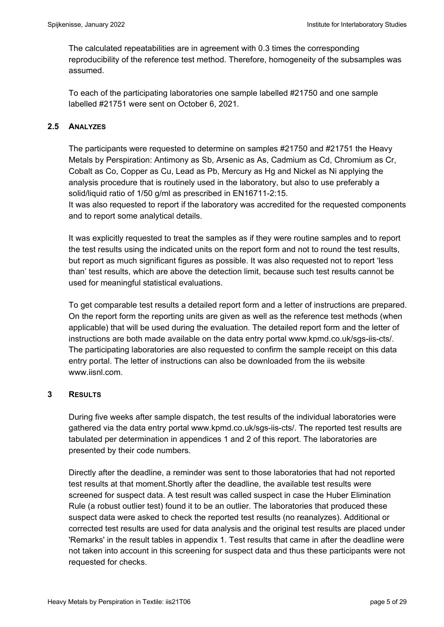The calculated repeatabilities are in agreement with 0.3 times the corresponding reproducibility of the reference test method. Therefore, homogeneity of the subsamples was assumed.

To each of the participating laboratories one sample labelled #21750 and one sample labelled #21751 were sent on October 6, 2021.

### **2.5 ANALYZES**

The participants were requested to determine on samples #21750 and #21751 the Heavy Metals by Perspiration: Antimony as Sb, Arsenic as As, Cadmium as Cd, Chromium as Cr, Cobalt as Co, Copper as Cu, Lead as Pb, Mercury as Hg and Nickel as Ni applying the analysis procedure that is routinely used in the laboratory, but also to use preferably a solid/liquid ratio of 1/50 g/ml as prescribed in EN16711-2:15. It was also requested to report if the laboratory was accredited for the requested components and to report some analytical details.

It was explicitly requested to treat the samples as if they were routine samples and to report the test results using the indicated units on the report form and not to round the test results, but report as much significant figures as possible. It was also requested not to report 'less than' test results, which are above the detection limit, because such test results cannot be used for meaningful statistical evaluations.

To get comparable test results a detailed report form and a letter of instructions are prepared. On the report form the reporting units are given as well as the reference test methods (when applicable) that will be used during the evaluation. The detailed report form and the letter of instructions are both made available on the data entry portal www.kpmd.co.uk/sgs-iis-cts/. The participating laboratories are also requested to confirm the sample receipt on this data entry portal. The letter of instructions can also be downloaded from the iis website www.jisnl.com

#### **3 RESULTS**

During five weeks after sample dispatch, the test results of the individual laboratories were gathered via the data entry portal www.kpmd.co.uk/sgs-iis-cts/. The reported test results are tabulated per determination in appendices 1 and 2 of this report. The laboratories are presented by their code numbers.

Directly after the deadline, a reminder was sent to those laboratories that had not reported test results at that moment.Shortly after the deadline, the available test results were screened for suspect data. A test result was called suspect in case the Huber Elimination Rule (a robust outlier test) found it to be an outlier. The laboratories that produced these suspect data were asked to check the reported test results (no reanalyzes). Additional or corrected test results are used for data analysis and the original test results are placed under 'Remarks' in the result tables in appendix 1. Test results that came in after the deadline were not taken into account in this screening for suspect data and thus these participants were not requested for checks.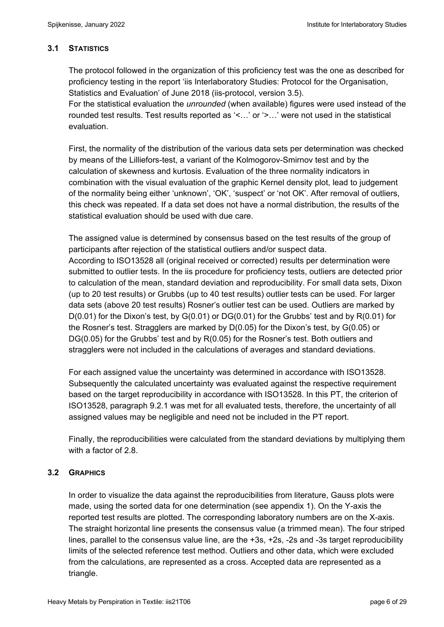## **3.1 STATISTICS**

The protocol followed in the organization of this proficiency test was the one as described for proficiency testing in the report 'iis Interlaboratory Studies: Protocol for the Organisation, Statistics and Evaluation' of June 2018 (iis-protocol, version 3.5).

For the statistical evaluation the *unrounded* (when available) figures were used instead of the rounded test results. Test results reported as '<…' or '>…' were not used in the statistical evaluation.

First, the normality of the distribution of the various data sets per determination was checked by means of the Lilliefors-test, a variant of the Kolmogorov-Smirnov test and by the calculation of skewness and kurtosis. Evaluation of the three normality indicators in combination with the visual evaluation of the graphic Kernel density plot, lead to judgement of the normality being either 'unknown', 'OK', 'suspect' or 'not OK'. After removal of outliers, this check was repeated. If a data set does not have a normal distribution, the results of the statistical evaluation should be used with due care.

The assigned value is determined by consensus based on the test results of the group of participants after rejection of the statistical outliers and/or suspect data. According to ISO13528 all (original received or corrected) results per determination were submitted to outlier tests. In the iis procedure for proficiency tests, outliers are detected prior to calculation of the mean, standard deviation and reproducibility. For small data sets, Dixon (up to 20 test results) or Grubbs (up to 40 test results) outlier tests can be used. For larger data sets (above 20 test results) Rosner's outlier test can be used. Outliers are marked by D(0.01) for the Dixon's test, by G(0.01) or DG(0.01) for the Grubbs' test and by R(0.01) for the Rosner's test. Stragglers are marked by D(0.05) for the Dixon's test, by G(0.05) or DG(0.05) for the Grubbs' test and by R(0.05) for the Rosner's test. Both outliers and stragglers were not included in the calculations of averages and standard deviations.

For each assigned value the uncertainty was determined in accordance with ISO13528. Subsequently the calculated uncertainty was evaluated against the respective requirement based on the target reproducibility in accordance with ISO13528. In this PT, the criterion of ISO13528, paragraph 9.2.1 was met for all evaluated tests, therefore, the uncertainty of all assigned values may be negligible and need not be included in the PT report.

Finally, the reproducibilities were calculated from the standard deviations by multiplying them with a factor of 2.8.

## **3.2 GRAPHICS**

In order to visualize the data against the reproducibilities from literature, Gauss plots were made, using the sorted data for one determination (see appendix 1). On the Y-axis the reported test results are plotted. The corresponding laboratory numbers are on the X-axis. The straight horizontal line presents the consensus value (a trimmed mean). The four striped lines, parallel to the consensus value line, are the +3s, +2s, -2s and -3s target reproducibility limits of the selected reference test method. Outliers and other data, which were excluded from the calculations, are represented as a cross. Accepted data are represented as a triangle.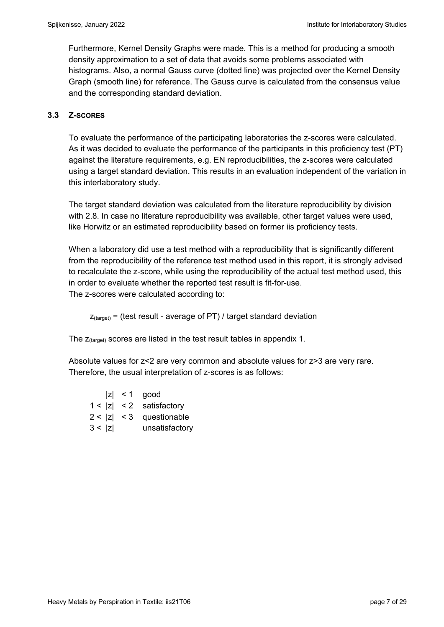Furthermore, Kernel Density Graphs were made. This is a method for producing a smooth density approximation to a set of data that avoids some problems associated with histograms. Also, a normal Gauss curve (dotted line) was projected over the Kernel Density Graph (smooth line) for reference. The Gauss curve is calculated from the consensus value and the corresponding standard deviation.

## **3.3 Z-SCORES**

To evaluate the performance of the participating laboratories the z-scores were calculated. As it was decided to evaluate the performance of the participants in this proficiency test (PT) against the literature requirements, e.g. EN reproducibilities, the z-scores were calculated using a target standard deviation. This results in an evaluation independent of the variation in this interlaboratory study.

The target standard deviation was calculated from the literature reproducibility by division with 2.8. In case no literature reproducibility was available, other target values were used, like Horwitz or an estimated reproducibility based on former iis proficiency tests.

When a laboratory did use a test method with a reproducibility that is significantly different from the reproducibility of the reference test method used in this report, it is strongly advised to recalculate the z-score, while using the reproducibility of the actual test method used, this in order to evaluate whether the reported test result is fit-for-use. The z-scores were calculated according to:

 $Z_{\text{target}}$  = (test result - average of PT) / target standard deviation

The  $z$ <sub>(target)</sub> scores are listed in the test result tables in appendix 1.

Absolute values for z<2 are very common and absolute values for z>3 are very rare. Therefore, the usual interpretation of z-scores is as follows:

|        | $ z  < 1$ good             |
|--------|----------------------------|
|        | $1 <  z  < 2$ satisfactory |
|        | $2 <  z  < 3$ questionable |
| 3 <  z | unsatisfactory             |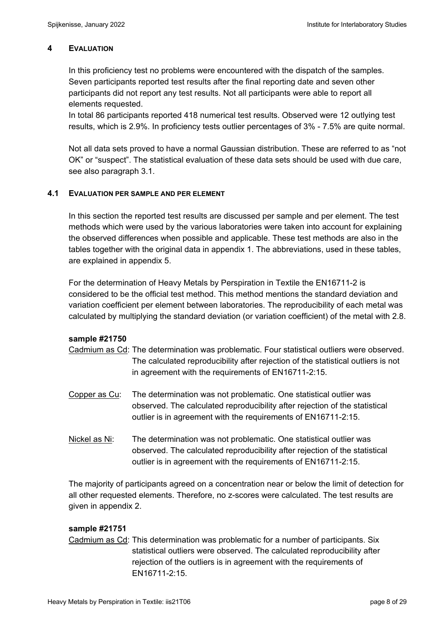#### **4 EVALUATION**

In this proficiency test no problems were encountered with the dispatch of the samples. Seven participants reported test results after the final reporting date and seven other participants did not report any test results. Not all participants were able to report all elements requested.

In total 86 participants reported 418 numerical test results. Observed were 12 outlying test results, which is 2.9%. In proficiency tests outlier percentages of 3% - 7.5% are quite normal.

Not all data sets proved to have a normal Gaussian distribution. These are referred to as "not OK" or "suspect". The statistical evaluation of these data sets should be used with due care, see also paragraph 3.1.

#### **4.1 EVALUATION PER SAMPLE AND PER ELEMENT**

In this section the reported test results are discussed per sample and per element. The test methods which were used by the various laboratories were taken into account for explaining the observed differences when possible and applicable. These test methods are also in the tables together with the original data in appendix 1. The abbreviations, used in these tables, are explained in appendix 5.

For the determination of Heavy Metals by Perspiration in Textile the EN16711-2 is considered to be the official test method. This method mentions the standard deviation and variation coefficient per element between laboratories. The reproducibility of each metal was calculated by multiplying the standard deviation (or variation coefficient) of the metal with 2.8.

#### **sample #21750**

- Cadmium as Cd: The determination was problematic. Four statistical outliers were observed. The calculated reproducibility after rejection of the statistical outliers is not in agreement with the requirements of EN16711-2:15.
- Copper as Cu: The determination was not problematic. One statistical outlier was observed. The calculated reproducibility after rejection of the statistical outlier is in agreement with the requirements of EN16711-2:15.
- Nickel as Ni: The determination was not problematic. One statistical outlier was observed. The calculated reproducibility after rejection of the statistical outlier is in agreement with the requirements of EN16711-2:15.

The majority of participants agreed on a concentration near or below the limit of detection for all other requested elements. Therefore, no z-scores were calculated. The test results are given in appendix 2.

#### **sample #21751**

Cadmium as Cd: This determination was problematic for a number of participants. Six statistical outliers were observed. The calculated reproducibility after rejection of the outliers is in agreement with the requirements of EN16711-2:15.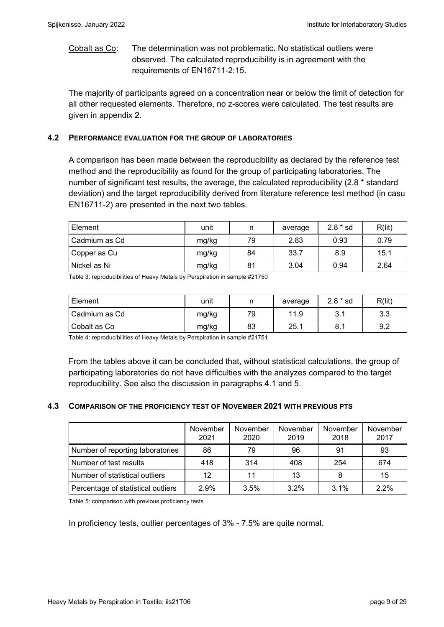Cobalt as Co: The determination was not problematic. No statistical outliers were observed. The calculated reproducibility is in agreement with the requirements of EN16711-2:15.

The majority of participants agreed on a concentration near or below the limit of detection for all other requested elements. Therefore, no z-scores were calculated. The test results are given in appendix 2.

#### **4.2 PERFORMANCE EVALUATION FOR THE GROUP OF LABORATORIES**

A comparison has been made between the reproducibility as declared by the reference test method and the reproducibility as found for the group of participating laboratories. The number of significant test results, the average, the calculated reproducibility (2.8 \* standard deviation) and the target reproducibility derived from literature reference test method (in casu EN16711-2) are presented in the next two tables.

| Element       | unit  | n  | average | $2.8 * sd$ | R(lit) |
|---------------|-------|----|---------|------------|--------|
| Cadmium as Cd | mg/kg | 79 | 2.83    | 0.93       | 0.79   |
| Copper as Cu  | mg/kg | 84 | 33.7    | 8.9        | 15.1   |
| Nickel as Ni  | mg/kg | 81 | 3.04    | 0.94       | 2.64   |

Table 3: reproducibilities of Heavy Metals by Perspiration in sample #21750

| Element       | unit  |    | average | $2.8 * sd$ | R(lit)    |
|---------------|-------|----|---------|------------|-----------|
| Cadmium as Cd | mg/kg | 79 | 11.9    | ◡. ।       | っっ<br>ა.ა |
| Cobalt as Co  | mg/kg | 83 | 25.1    | 8.1        | 9.2       |

Table 4: reproducibilities of Heavy Metals by Perspiration in sample #21751

From the tables above it can be concluded that, without statistical calculations, the group of participating laboratories do not have difficulties with the analyzes compared to the target reproducibility. See also the discussion in paragraphs 4.1 and 5.

#### **4.3 COMPARISON OF THE PROFICIENCY TEST OF NOVEMBER 2021 WITH PREVIOUS PTS**

|                                    | November<br>2021 | November<br>2020 | November<br>2019 | November<br>2018 | November<br>2017 |
|------------------------------------|------------------|------------------|------------------|------------------|------------------|
| Number of reporting laboratories   | 86               | 79               | 96               | 91               | 93               |
| Number of test results             | 418              | 314              | 408              | 254              | 674              |
| Number of statistical outliers     | 12               | 11               | 13               |                  | 15               |
| Percentage of statistical outliers | 2.9%             | 3.5%             | 3.2%             | $3.1\%$          | 2.2%             |

Table 5: comparison with previous proficiency tests

In proficiency tests, outlier percentages of 3% - 7.5% are quite normal.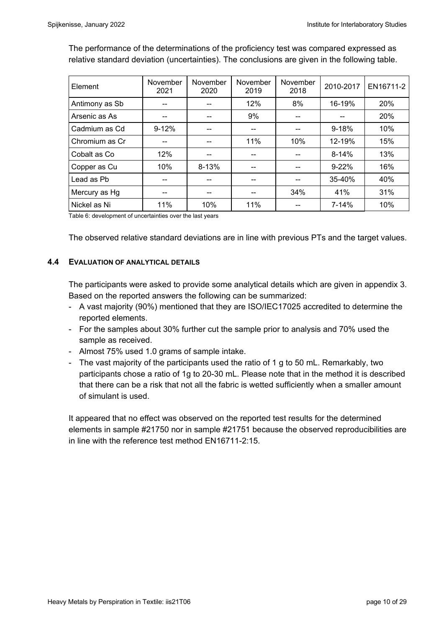The performance of the determinations of the proficiency test was compared expressed as relative standard deviation (uncertainties). The conclusions are given in the following table.

| Element        | November<br>2021 | November<br>2020 | November<br>2019 | November<br>2018 | 2010-2017 | EN16711-2 |
|----------------|------------------|------------------|------------------|------------------|-----------|-----------|
| Antimony as Sb |                  |                  | 12%              | 8%               | 16-19%    | 20%       |
| Arsenic as As  |                  |                  | 9%               | --               |           | 20%       |
| Cadmium as Cd  | $9 - 12%$        |                  | --               | --               | $9 - 18%$ | 10%       |
| Chromium as Cr | --               |                  | 11%              | 10%              | 12-19%    | 15%       |
| Cobalt as Co   | 12%              | --               | --               | --               | $8-14%$   | 13%       |
| Copper as Cu   | 10%              | $8 - 13%$        | --               |                  | $9 - 22%$ | 16%       |
| Lead as Pb     | --               |                  | --               | --               | 35-40%    | 40%       |
| Mercury as Hg  | --               | --               | --               | 34%              | 41%       | 31%       |
| Nickel as Ni   | 11%              | 10%              | 11%              | --               | 7-14%     | 10%       |

Table 6: development of uncertainties over the last years

The observed relative standard deviations are in line with previous PTs and the target values.

#### **4.4 EVALUATION OF ANALYTICAL DETAILS**

The participants were asked to provide some analytical details which are given in appendix 3. Based on the reported answers the following can be summarized:

- A vast majority (90%) mentioned that they are ISO/IEC17025 accredited to determine the reported elements.
- For the samples about 30% further cut the sample prior to analysis and 70% used the sample as received.
- Almost 75% used 1.0 grams of sample intake.
- The vast majority of the participants used the ratio of 1 g to 50 mL. Remarkably, two participants chose a ratio of 1g to 20-30 mL. Please note that in the method it is described that there can be a risk that not all the fabric is wetted sufficiently when a smaller amount of simulant is used.

It appeared that no effect was observed on the reported test results for the determined elements in sample #21750 nor in sample #21751 because the observed reproducibilities are in line with the reference test method EN16711-2:15.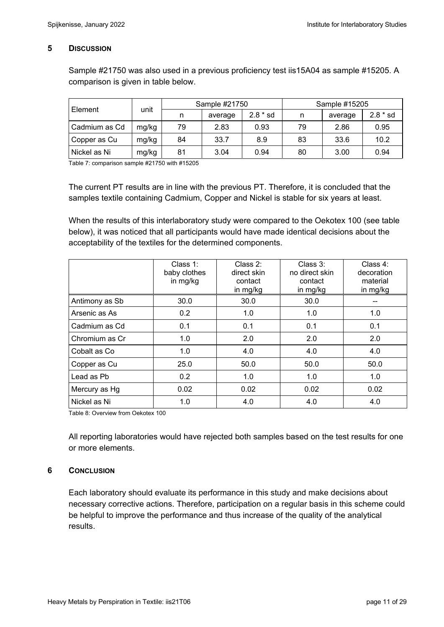#### **5 DISCUSSION**

Sample #21750 was also used in a previous proficiency test iis15A04 as sample #15205. A comparison is given in table below.

| Element       | unit  | Sample #21750 |         |            | Sample #15205 |         |            |  |
|---------------|-------|---------------|---------|------------|---------------|---------|------------|--|
|               |       |               | average | $2.8 * sd$ | n             | average | $2.8 * sd$ |  |
| Cadmium as Cd | mg/kg | 79            | 2.83    | 0.93       | 79            | 2.86    | 0.95       |  |
| Copper as Cu  | mg/kg | 84            | 33.7    | 8.9        | 83            | 33.6    | 10.2       |  |
| Nickel as Ni  | mg/kg | 81            | 3.04    | 0.94       | 80            | 3.00    | 0.94       |  |

Table 7: comparison sample #21750 with #15205

The current PT results are in line with the previous PT. Therefore, it is concluded that the samples textile containing Cadmium, Copper and Nickel is stable for six years at least.

When the results of this interlaboratory study were compared to the Oekotex 100 (see table below), it was noticed that all participants would have made identical decisions about the acceptability of the textiles for the determined components.

|                | Class $1$ :<br>baby clothes<br>in mg/kg | Class $2$ :<br>direct skin<br>contact<br>in mg/kg | Class 3:<br>no direct skin<br>contact<br>in mg/kg | Class 4:<br>decoration<br>material<br>in mg/kg |
|----------------|-----------------------------------------|---------------------------------------------------|---------------------------------------------------|------------------------------------------------|
| Antimony as Sb | 30.0                                    | 30.0                                              | 30.0                                              |                                                |
| Arsenic as As  | 0.2                                     | 1.0                                               | 1.0                                               | 1.0                                            |
| Cadmium as Cd  | 0.1                                     | 0.1                                               | 0.1                                               | 0.1                                            |
| Chromium as Cr | 1.0                                     | 2.0                                               | 2.0                                               | 2.0                                            |
| Cobalt as Co   | 1.0                                     | 4.0                                               | 4.0                                               | 4.0                                            |
| Copper as Cu   | 25.0                                    | 50.0                                              | 50.0                                              | 50.0                                           |
| Lead as Pb     | 0.2                                     | 1.0                                               | 1.0                                               | 1.0                                            |
| Mercury as Hg  | 0.02                                    | 0.02                                              | 0.02                                              | 0.02                                           |
| Nickel as Ni   | 1.0                                     | 4.0                                               | 4.0                                               | 4.0                                            |

Table 8: Overview from Oekotex 100

All reporting laboratories would have rejected both samples based on the test results for one or more elements.

#### **6 CONCLUSION**

Each laboratory should evaluate its performance in this study and make decisions about necessary corrective actions. Therefore, participation on a regular basis in this scheme could be helpful to improve the performance and thus increase of the quality of the analytical results.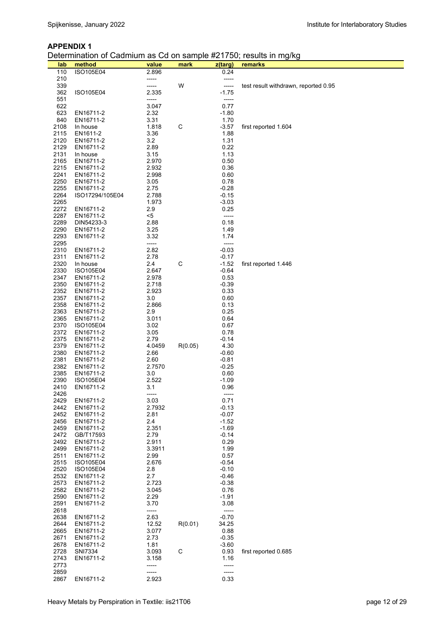#### **APPENDIX 1**

Determination of Cadmium as Cd on sample #21750; results in mg/kg

| lab          | method                  | value          | mark    | z(targ)            | remarks                              |
|--------------|-------------------------|----------------|---------|--------------------|--------------------------------------|
| 110          | <b>ISO105E04</b>        | 2.896          |         | 0.24               |                                      |
| 210          |                         | -----          |         | -----              |                                      |
| 339<br>362   | ISO105E04               | -----<br>2.335 | W       | -----<br>$-1.75$   | test result withdrawn, reported 0.95 |
| 551          |                         | -----          |         | -----              |                                      |
| 622          |                         | 3.047          |         | 0.77               |                                      |
| 623          | EN16711-2               | 2.32           |         | $-1.80$            |                                      |
| 840          | EN16711-2               | 3.31           |         | 1.70               |                                      |
| 2108<br>2115 | In house                | 1.818          | C       | $-3.57$<br>1.88    | first reported 1.604                 |
| 2120         | EN1611-2<br>EN16711-2   | 3.36<br>3.2    |         | 1.31               |                                      |
| 2129         | EN16711-2               | 2.89           |         | 0.22               |                                      |
| 2131         | In house                | 3.15           |         | 1.13               |                                      |
| 2165         | EN16711-2               | 2.970          |         | 0.50               |                                      |
| 2215         | EN16711-2               | 2.932          |         | 0.36               |                                      |
| 2241<br>2250 | EN16711-2<br>EN16711-2  | 2.998<br>3.05  |         | 0.60<br>0.78       |                                      |
| 2255         | EN16711-2               | 2.75           |         | $-0.28$            |                                      |
| 2264         | ISO17294/105E04         | 2.788          |         | $-0.15$            |                                      |
| 2265         |                         | 1.973          |         | $-3.03$            |                                      |
| 2272         | EN16711-2               | 2.9            |         | 0.25               |                                      |
| 2287<br>2289 | EN16711-2<br>DIN54233-3 | $5$<br>2.88    |         | -----<br>0.18      |                                      |
| 2290         | EN16711-2               | 3.25           |         | 1.49               |                                      |
| 2293         | EN16711-2               | 3.32           |         | 1.74               |                                      |
| 2295         |                         | -----          |         | -----              |                                      |
| 2310         | EN16711-2               | 2.82           |         | $-0.03$            |                                      |
| 2311<br>2320 | EN16711-2<br>In house   | 2.78<br>2.4    | C       | $-0.17$<br>$-1.52$ | first reported 1.446                 |
| 2330         | ISO105E04               | 2.647          |         | $-0.64$            |                                      |
| 2347         | EN16711-2               | 2.978          |         | 0.53               |                                      |
| 2350         | EN16711-2               | 2.718          |         | $-0.39$            |                                      |
| 2352         | EN16711-2               | 2.923          |         | 0.33               |                                      |
| 2357<br>2358 | EN16711-2<br>EN16711-2  | 3.0<br>2.866   |         | 0.60<br>0.13       |                                      |
| 2363         | EN16711-2               | 2.9            |         | 0.25               |                                      |
| 2365         | EN16711-2               | 3.011          |         | 0.64               |                                      |
| 2370         | ISO105E04               | 3.02           |         | 0.67               |                                      |
| 2372         | EN16711-2               | 3.05           |         | 0.78               |                                      |
| 2375<br>2379 | EN16711-2<br>EN16711-2  | 2.79<br>4.0459 | R(0.05) | $-0.14$<br>4.30    |                                      |
| 2380         | EN16711-2               | 2.66           |         | $-0.60$            |                                      |
| 2381         | EN16711-2               | 2.60           |         | $-0.81$            |                                      |
| 2382         | EN16711-2               | 2.7570         |         | $-0.25$            |                                      |
| 2385<br>2390 | EN16711-2<br>ISO105E04  | 3.0<br>2.522   |         | 0.60<br>$-1.09$    |                                      |
| 2410         | EN16711-2               | 3.1            |         | 0.96               |                                      |
| 2426         |                         | -----          |         | -----              |                                      |
| 2429         | EN16711-2               | 3.03           |         | 0.71               |                                      |
| 2442<br>2452 | EN16711-2               | 2.7932<br>2.81 |         | $-0.13$            |                                      |
| 2456         | EN16711-2<br>EN16711-2  | 2.4            |         | $-0.07$<br>$-1.52$ |                                      |
| 2459         | EN16711-2               | 2.351          |         | $-1.69$            |                                      |
| 2472         | GB/T17593               | 2.79           |         | $-0.14$            |                                      |
| 2492         | EN16711-2               | 2.911          |         | 0.29               |                                      |
| 2499<br>2511 | EN16711-2<br>EN16711-2  | 3.3911<br>2.99 |         | 1.99<br>0.57       |                                      |
| 2515         | ISO105E04               | 2.676          |         | $-0.54$            |                                      |
| 2520         | ISO105E04               | 2.8            |         | $-0.10$            |                                      |
| 2532         | EN16711-2               | 2.7            |         | $-0.46$            |                                      |
| 2573         | EN16711-2               | 2.723          |         | $-0.38$            |                                      |
| 2582<br>2590 | EN16711-2<br>EN16711-2  | 3.045<br>2.29  |         | 0.76<br>$-1.91$    |                                      |
| 2591         | EN16711-2               | 3.70           |         | 3.08               |                                      |
| 2618         |                         | -----          |         | -----              |                                      |
| 2638         | EN16711-2               | 2.63           |         | $-0.70$            |                                      |
| 2644         | EN16711-2               | 12.52          | R(0.01) | 34.25              |                                      |
| 2665<br>2671 | EN16711-2<br>EN16711-2  | 3.077<br>2.73  |         | 0.88<br>$-0.35$    |                                      |
| 2678         | EN16711-2               | 1.81           |         | $-3.60$            |                                      |
| 2728         | SNI7334                 | 3.093          | C       | 0.93               | first reported 0.685                 |
| 2743         | EN16711-2               | 3.158          |         | 1.16               |                                      |
| 2773         |                         | -----          |         | -----              |                                      |
| 2859<br>2867 | EN16711-2               | -----<br>2.923 |         | -----<br>0.33      |                                      |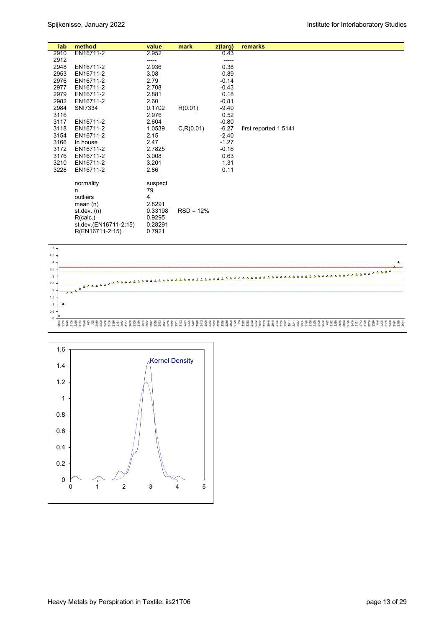| lab  | method                | value   | mark        | z(targ) | remarks               |
|------|-----------------------|---------|-------------|---------|-----------------------|
| 2910 | EN16711-2             | 2.952   |             | 0.43    |                       |
| 2912 |                       | -----   |             | -----   |                       |
| 2948 | EN16711-2             | 2.936   |             | 0.38    |                       |
| 2953 | EN16711-2             | 3.08    |             | 0.89    |                       |
| 2976 | EN16711-2             | 2.79    |             | $-0.14$ |                       |
| 2977 | EN16711-2             | 2.708   |             | $-0.43$ |                       |
| 2979 | EN16711-2             | 2.881   |             | 0.18    |                       |
| 2982 | EN16711-2             | 2.60    |             | $-0.81$ |                       |
| 2984 | SNI7334               | 0.1702  | R(0.01)     | $-9.40$ |                       |
| 3116 |                       | 2.976   |             | 0.52    |                       |
| 3117 | EN16711-2             | 2.604   |             | $-0.80$ |                       |
| 3118 | EN16711-2             | 1.0539  | C, R(0.01)  | $-6.27$ | first reported 1.5141 |
| 3154 | EN16711-2             | 2.15    |             | $-2.40$ |                       |
| 3166 | In house              | 2.47    |             | $-1.27$ |                       |
| 3172 | EN16711-2             | 2.7825  |             | $-0.16$ |                       |
| 3176 | EN16711-2             | 3.008   |             | 0.63    |                       |
| 3210 | EN16711-2             | 3.201   |             | 1.31    |                       |
| 3228 | EN16711-2             | 2.86    |             | 0.11    |                       |
|      | normality             | suspect |             |         |                       |
|      | n                     | 79      |             |         |                       |
|      | outliers              | 4       |             |         |                       |
|      | mean $(n)$            | 2.8291  |             |         |                       |
|      | st.dev. (n)           | 0.33198 | $RSD = 12%$ |         |                       |
|      | R(calc.)              | 0.9295  |             |         |                       |
|      | st.dev.(EN16711-2:15) | 0.28291 |             |         |                       |
|      | R(EN16711-2:15)       | 0.7921  |             |         |                       |



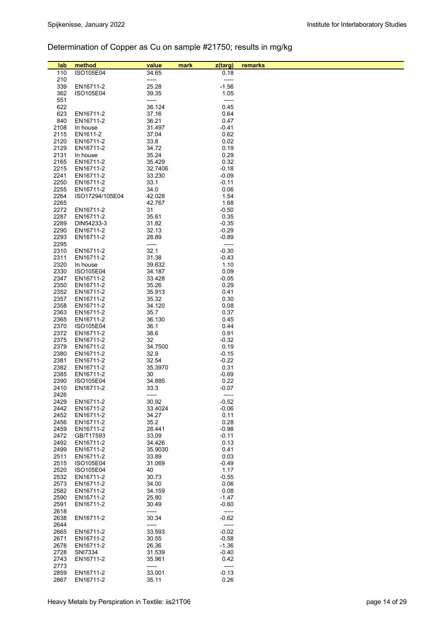# Determination of Copper as Cu on sample #21750; results in mg/kg

| lab  | method          | value   | mark | z(targ)  | remarks |
|------|-----------------|---------|------|----------|---------|
| 110  | ISO105E04       | 34.65   |      | 0.18     |         |
| 210  |                 | -----   |      | $-----1$ |         |
| 339  | EN16711-2       | 25.28   |      | $-1.56$  |         |
|      |                 |         |      |          |         |
| 362  | ISO105E04       | 39.35   |      | 1.05     |         |
| 551  |                 | -----   |      | -----    |         |
| 622  |                 | 36.124  |      | 0.45     |         |
| 623  | EN16711-2       | 37.16   |      | 0.64     |         |
| 840  | EN16711-2       | 36.21   |      | 0.47     |         |
| 2108 | In house        | 31.497  |      | -0.41    |         |
|      |                 |         |      |          |         |
| 2115 | EN1611-2        | 37.04   |      | 0.62     |         |
| 2120 | EN16711-2       | 33.8    |      | 0.02     |         |
| 2129 | EN16711-2       | 34.72   |      | 0.19     |         |
| 2131 | In house        | 35.24   |      | 0.29     |         |
| 2165 | EN16711-2       | 35.429  |      | 0.32     |         |
| 2215 | EN16711-2       | 32.7406 |      | $-0.18$  |         |
| 2241 | EN16711-2       | 33.230  |      | $-0.09$  |         |
|      |                 |         |      |          |         |
| 2250 | EN16711-2       | 33.1    |      | $-0.11$  |         |
| 2255 | EN16711-2       | 34.0    |      | 0.06     |         |
| 2264 | ISO17294/105E04 | 42.028  |      | 1.54     |         |
| 2265 |                 | 42.767  |      | 1.68     |         |
| 2272 | EN16711-2       | 31      |      | $-0.50$  |         |
| 2287 | EN16711-2       | 35.61   |      | 0.35     |         |
| 2289 | DIN54233-3      | 31.82   |      | $-0.35$  |         |
|      |                 |         |      |          |         |
| 2290 | EN16711-2       | 32.13   |      | $-0.29$  |         |
| 2293 | EN16711-2       | 28.89   |      | $-0.89$  |         |
| 2295 |                 | -----   |      | -----    |         |
| 2310 | EN16711-2       | 32.1    |      | $-0.30$  |         |
| 2311 | EN16711-2       | 31.38   |      | -0.43    |         |
| 2320 | In house        | 39.632  |      | 1.10     |         |
| 2330 |                 |         |      | 0.09     |         |
|      | ISO105E04       | 34.187  |      |          |         |
| 2347 | EN16711-2       | 33.428  |      | $-0.05$  |         |
| 2350 | EN16711-2       | 35.26   |      | 0.29     |         |
| 2352 | EN16711-2       | 35.913  |      | 0.41     |         |
| 2357 | EN16711-2       | 35.32   |      | 0.30     |         |
| 2358 | EN16711-2       | 34.120  |      | 0.08     |         |
| 2363 | EN16711-2       | 35.7    |      | 0.37     |         |
|      |                 |         |      |          |         |
| 2365 | EN16711-2       | 36.130  |      | 0.45     |         |
| 2370 | ISO105E04       | 36.1    |      | 0.44     |         |
| 2372 | EN16711-2       | 38.6    |      | 0.91     |         |
| 2375 | EN16711-2       | 32      |      | $-0.32$  |         |
| 2379 | EN16711-2       | 34.7500 |      | 0.19     |         |
| 2380 | EN16711-2       | 32.9    |      | $-0.15$  |         |
| 2381 | EN16711-2       | 32.54   |      | $-0.22$  |         |
|      |                 |         |      |          |         |
| 2382 | EN16711-2       | 35.3970 |      | 0.31     |         |
| 2385 | EN16711-2       | 30      |      | $-0.69$  |         |
| 2390 | ISO105E04       | 34.885  |      | 0.22     |         |
| 2410 | EN16711-2       | 33.3    |      | $-0.07$  |         |
| 2426 |                 | -----   |      | $-----$  |         |
| 2429 | EN16711-2       | 30.92   |      | $-0.52$  |         |
| 2442 | EN16711-2       | 33.4024 |      | $-0.06$  |         |
| 2452 |                 | 34.27   |      | 0.11     |         |
|      | EN16711-2       |         |      |          |         |
| 2456 | EN16711-2       | 35.2    |      | 0.28     |         |
| 2459 | EN16711-2       | 28.441  |      | $-0.98$  |         |
| 2472 | GB/T17593       | 33.09   |      | $-0.11$  |         |
| 2492 | EN16711-2       | 34.426  |      | 0.13     |         |
| 2499 | EN16711-2       | 35.9030 |      | 0.41     |         |
| 2511 | EN16711-2       | 33.89   |      | 0.03     |         |
| 2515 | ISO105E04       | 31.069  |      | $-0.49$  |         |
|      |                 |         |      |          |         |
| 2520 | ISO105E04       | 40      |      | 1.17     |         |
| 2532 | EN16711-2       | 30.73   |      | $-0.55$  |         |
| 2573 | EN16711-2       | 34.00   |      | 0.06     |         |
| 2582 | EN16711-2       | 34.159  |      | 0.08     |         |
| 2590 | EN16711-2       | 25.80   |      | -1.47    |         |
| 2591 | EN16711-2       | 30.49   |      | $-0.60$  |         |
| 2618 |                 | -----   |      | -----    |         |
|      |                 |         |      |          |         |
| 2638 | EN16711-2       | 30.34   |      | $-0.62$  |         |
| 2644 |                 | -----   |      | $-----$  |         |
| 2665 | EN16711-2       | 33.593  |      | $-0.02$  |         |
| 2671 | EN16711-2       | 30.55   |      | $-0.58$  |         |
| 2678 | EN16711-2       | 26.36   |      | $-1.36$  |         |
| 2728 | SNI7334         | 31.539  |      | $-0.40$  |         |
| 2743 | EN16711-2       | 35.961  |      | 0.42     |         |
| 2773 |                 |         |      |          |         |
|      |                 | -----   |      | -----    |         |
| 2859 | EN16711-2       | 33.001  |      | $-0.13$  |         |
| 2867 | EN16711-2       | 35.11   |      | 0.26     |         |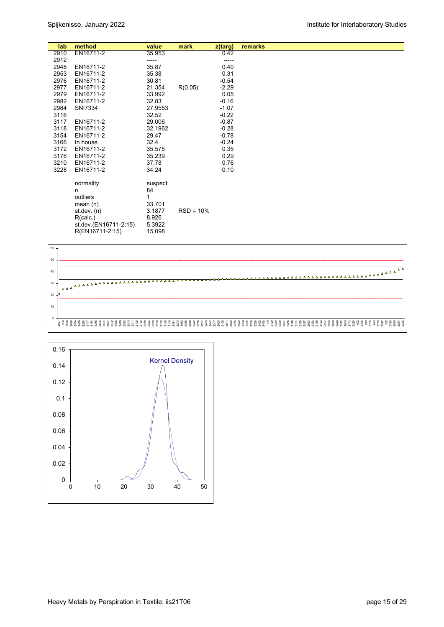| lab  | method                | value   | mark        | z(targ) | remarks |  |
|------|-----------------------|---------|-------------|---------|---------|--|
| 2910 | EN16711-2             | 35.953  |             | 0.42    |         |  |
| 2912 |                       | -----   |             | -----   |         |  |
| 2948 | EN16711-2             | 35.87   |             | 0.40    |         |  |
| 2953 | EN16711-2             | 35.38   |             | 0.31    |         |  |
| 2976 | EN16711-2             | 30.81   |             | $-0.54$ |         |  |
| 2977 | EN16711-2             | 21.354  | R(0.05)     | $-2.29$ |         |  |
| 2979 | EN16711-2             | 33.992  |             | 0.05    |         |  |
| 2982 | EN16711-2             | 32.83   |             | $-0.16$ |         |  |
| 2984 | SNI7334               | 27.9553 |             | $-1.07$ |         |  |
| 3116 |                       | 32.52   |             | $-0.22$ |         |  |
| 3117 | EN16711-2             | 29.006  |             | $-0.87$ |         |  |
| 3118 | EN16711-2             | 32.1962 |             | $-0.28$ |         |  |
| 3154 | EN16711-2             | 29.47   |             | $-0.78$ |         |  |
| 3166 | In house              | 32.4    |             | $-0.24$ |         |  |
| 3172 | EN16711-2             | 35.575  |             | 0.35    |         |  |
| 3176 | EN16711-2             | 35.239  |             | 0.29    |         |  |
| 3210 | EN16711-2             | 37.78   |             | 0.76    |         |  |
| 3228 | EN16711-2             | 34.24   |             | 0.10    |         |  |
|      |                       |         |             |         |         |  |
|      | normality             | suspect |             |         |         |  |
|      | n                     | 84      |             |         |         |  |
|      | outliers              | 1       |             |         |         |  |
|      | mean(n)               | 33.701  |             |         |         |  |
|      | st.dev. $(n)$         | 3.1877  | $RSD = 10%$ |         |         |  |
|      | R(calc.)              | 8.926   |             |         |         |  |
|      | st.dev.(EN16711-2:15) | 5.3922  |             |         |         |  |
|      | R(EN16711-2:15)       | 15.098  |             |         |         |  |



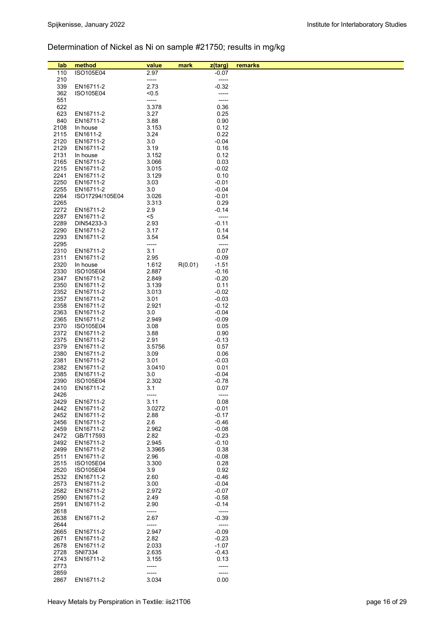# Determination of Nickel as Ni on sample #21750; results in mg/kg

| lab          | method                 | value          | mark    | z(targ)            | remarks |
|--------------|------------------------|----------------|---------|--------------------|---------|
| 110          | ISO105E04              | 2.97           |         | $-0.07$            |         |
| 210          |                        | -----          |         | -----              |         |
| 339          | EN16711-2              | 2.73           |         | $-0.32$            |         |
| 362          | ISO105E04              | < 0.5          |         | -----              |         |
| 551          |                        | -----          |         | -----              |         |
| 622          |                        | 3.378          |         | 0.36               |         |
| 623          | EN16711-2              | 3.27           |         | 0.25               |         |
| 840          | EN16711-2              | 3.88           |         | 0.90               |         |
| 2108         | In house               | 3.153          |         | 0.12               |         |
| 2115         | EN1611-2               | 3.24           |         | 0.22               |         |
| 2120         | EN16711-2              | 3.0            |         | $-0.04$            |         |
| 2129         | EN16711-2              | 3.19           |         | 0.16               |         |
| 2131         | In house               | 3.152          |         | 0.12               |         |
| 2165<br>2215 | EN16711-2              | 3.066          |         | 0.03               |         |
| 2241         | EN16711-2<br>EN16711-2 | 3.015<br>3.129 |         | $-0.02$<br>0.10    |         |
| 2250         | EN16711-2              | 3.03           |         | $-0.01$            |         |
| 2255         | EN16711-2              | 3.0            |         | $-0.04$            |         |
| 2264         | ISO17294/105E04        | 3.026          |         | $-0.01$            |         |
| 2265         |                        | 3.313          |         | 0.29               |         |
| 2272         | EN16711-2              | 2.9            |         | $-0.14$            |         |
| 2287         | EN16711-2              | $5$            |         | -----              |         |
| 2289         | DIN54233-3             | 2.93           |         | $-0.11$            |         |
| 2290         | EN16711-2              | 3.17           |         | 0.14               |         |
| 2293         | EN16711-2              | 3.54           |         | 0.54               |         |
| 2295         |                        | -----          |         | -----              |         |
| 2310<br>2311 | EN16711-2              | 3.1            |         | 0.07               |         |
| 2320         | EN16711-2<br>In house  | 2.95<br>1.612  | R(0.01) | $-0.09$<br>$-1.51$ |         |
| 2330         | ISO105E04              | 2.887          |         | $-0.16$            |         |
| 2347         | EN16711-2              | 2.849          |         | $-0.20$            |         |
| 2350         | EN16711-2              | 3.139          |         | 0.11               |         |
| 2352         | EN16711-2              | 3.013          |         | $-0.02$            |         |
| 2357         | EN16711-2              | 3.01           |         | $-0.03$            |         |
| 2358         | EN16711-2              | 2.921          |         | $-0.12$            |         |
| 2363         | EN16711-2              | 3.0            |         | $-0.04$            |         |
| 2365         | EN16711-2              | 2.949          |         | $-0.09$            |         |
| 2370         | ISO105E04              | 3.08           |         | 0.05               |         |
| 2372         | EN16711-2              | 3.88           |         | 0.90               |         |
| 2375         | EN16711-2              | 2.91           |         | $-0.13$            |         |
| 2379         | EN16711-2              | 3.5756         |         | 0.57               |         |
| 2380         | EN16711-2              | 3.09           |         | 0.06               |         |
| 2381<br>2382 | EN16711-2<br>EN16711-2 | 3.01<br>3.0410 |         | $-0.03$<br>0.01    |         |
| 2385         | EN16711-2              | 3.0            |         | $-0.04$            |         |
| 2390         | ISO105E04              | 2.302          |         | $-0.78$            |         |
| 2410         | EN16711-2              | 3.1            |         | 0.07               |         |
| 2426         |                        | -----          |         | -----              |         |
| 2429         | EN16711-2              | 3.11           |         | 0.08               |         |
| 2442         | EN16711-2              | 3.0272         |         | $-0.01$            |         |
| 2452         | EN16711-2              | 2.88           |         | $-0.17$            |         |
| 2456         | EN16711-2              | 2.6            |         | $-0.46$            |         |
| 2459         | EN16711-2              | 2.962          |         | $-0.08$            |         |
| 2472         | GB/T17593              | 2.82           |         | $-0.23$            |         |
| 2492         | EN16711-2              | 2.945          |         | $-0.10$            |         |
| 2499         | EN16711-2              | 3.3965         |         | 0.38               |         |
| 2511<br>2515 | EN16711-2<br>ISO105E04 | 2.96<br>3.300  |         | $-0.08$<br>0.28    |         |
| 2520         | ISO105E04              | 3.9            |         | 0.92               |         |
| 2532         | EN16711-2              | 2.60           |         | -0.46              |         |
| 2573         | EN16711-2              | 3.00           |         | $-0.04$            |         |
| 2582         | EN16711-2              | 2.972          |         | $-0.07$            |         |
| 2590         | EN16711-2              | 2.49           |         | $-0.58$            |         |
| 2591         | EN16711-2              | 2.90           |         | -0.14              |         |
| 2618         |                        | -----          |         | -----              |         |
| 2638         | EN16711-2              | 2.67           |         | $-0.39$            |         |
| 2644         |                        | -----          |         | -----              |         |
| 2665         | EN16711-2              | 2.947          |         | $-0.09$            |         |
| 2671         | EN16711-2              | 2.82           |         | $-0.23$            |         |
| 2678         | EN16711-2              | 2.033          |         | $-1.07$            |         |
| 2728<br>2743 | SNI7334                | 2.635          |         | -0.43              |         |
| 2773         | EN16711-2              | 3.155<br>----- |         | 0.13<br>-----      |         |
| 2859         |                        | -----          |         | -----              |         |
| 2867         | EN16711-2              | 3.034          |         | 0.00               |         |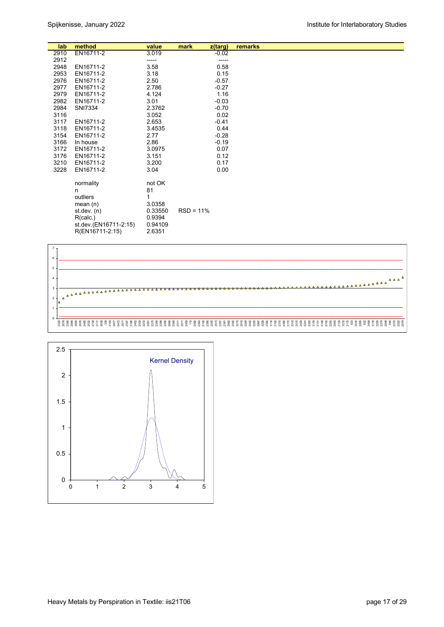| lab  | method                | value   | mark        | z(targ) | remarks |
|------|-----------------------|---------|-------------|---------|---------|
| 2910 | EN16711-2             | 3.019   |             | $-0.02$ |         |
| 2912 |                       | -----   |             |         |         |
| 2948 | EN16711-2             | 3.58    |             | 0.58    |         |
| 2953 | EN16711-2             | 3.18    |             | 0.15    |         |
| 2976 | EN16711-2             | 2.50    |             | $-0.57$ |         |
| 2977 | EN16711-2             | 2.786   |             | $-0.27$ |         |
| 2979 | EN16711-2             | 4.124   |             | 1.16    |         |
| 2982 | EN16711-2             | 3.01    |             | $-0.03$ |         |
| 2984 | SNI7334               | 2.3762  |             | $-0.70$ |         |
| 3116 |                       | 3.052   |             | 0.02    |         |
| 3117 | EN16711-2             | 2.653   |             | $-0.41$ |         |
| 3118 | EN16711-2             | 3.4535  |             | 0.44    |         |
| 3154 | EN16711-2             | 2.77    |             | $-0.28$ |         |
| 3166 | In house              | 2.86    |             | $-0.19$ |         |
| 3172 | EN16711-2             | 3.0975  |             | 0.07    |         |
| 3176 | EN16711-2             | 3.151   |             | 0.12    |         |
| 3210 | EN16711-2             | 3.200   |             | 0.17    |         |
| 3228 | EN16711-2             | 3.04    |             | 0.00    |         |
|      |                       |         |             |         |         |
|      | normality             | not OK  |             |         |         |
|      | n                     | 81      |             |         |         |
|      | outliers              | 1       |             |         |         |
|      | mean $(n)$            | 3.0358  |             |         |         |
|      | st.dev. $(n)$         | 0.33550 | $RSD = 11%$ |         |         |
|      | R(calc.)              | 0.9394  |             |         |         |
|      | st.dev.(EN16711-2:15) | 0.94109 |             |         |         |
|      | R(EN16711-2:15)       | 2.6351  |             |         |         |
|      |                       |         |             |         |         |



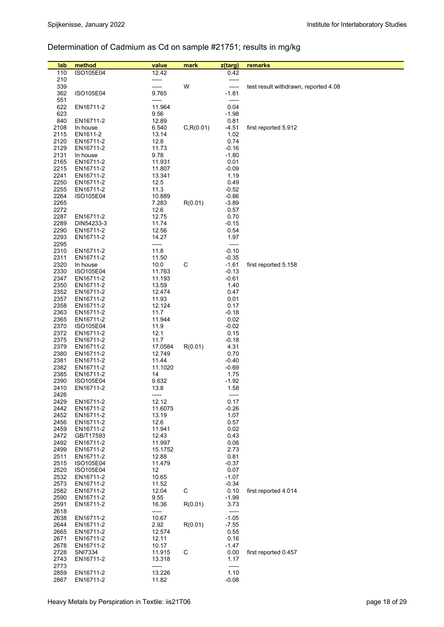# Determination of Cadmium as Cd on sample #21751; results in mg/kg

| lab          | method                 | value           | mark       | z(targ)            | remarks                              |
|--------------|------------------------|-----------------|------------|--------------------|--------------------------------------|
| 110          | ISO105E04              | 12.42           |            | 0.42               |                                      |
| 210          |                        | -----           |            | -----              |                                      |
| 339          |                        | -----           | W          | -----              | test result withdrawn, reported 4.08 |
| 362          | ISO105E04              | 9.765           |            | $-1.81$            |                                      |
| 551          |                        | -----           |            | -----              |                                      |
| 622          | EN16711-2              | 11.964          |            | 0.04               |                                      |
| 623          |                        | 9.56            |            | $-1.98$            |                                      |
| 840          | EN16711-2              | 12.89           |            | 0.81               |                                      |
| 2108         | In house               | 6.540           | C, R(0.01) | $-4.51$            | first reported 5.912                 |
| 2115         | EN1611-2               | 13.14           |            | 1.02               |                                      |
| 2120         | EN16711-2              | 12.8            |            | 0.74               |                                      |
| 2129         | EN16711-2              | 11.73           |            | $-0.16$            |                                      |
| 2131<br>2165 | In house<br>EN16711-2  | 9.78<br>11.931  |            | $-1.80$<br>0.01    |                                      |
| 2215         | EN16711-2              | 11.807          |            | $-0.09$            |                                      |
| 2241         | EN16711-2              | 13.341          |            | 1.19               |                                      |
| 2250         | EN16711-2              | 12.5            |            | 0.49               |                                      |
| 2255         | EN16711-2              | 11.3            |            | $-0.52$            |                                      |
| 2264         | ISO105E04              | 10.889          |            | $-0.86$            |                                      |
| 2265         |                        | 7.283           | R(0.01)    | $-3.89$            |                                      |
| 2272         |                        | 12.6            |            | 0.57               |                                      |
| 2287         | EN16711-2              | 12.75           |            | 0.70               |                                      |
| 2289         | DIN54233-3             | 11.74           |            | $-0.15$            |                                      |
| 2290         | EN16711-2              | 12.56           |            | 0.54               |                                      |
| 2293         | EN16711-2              | 14.27           |            | 1.97               |                                      |
| 2295         |                        | -----           |            | -----              |                                      |
| 2310<br>2311 | EN16711-2<br>EN16711-2 | 11.8<br>11.50   |            | $-0.10$<br>$-0.35$ |                                      |
| 2320         | In house               | 10.0            | C          | $-1.61$            | first reported 5.158                 |
| 2330         | ISO105E04              | 11.763          |            | $-0.13$            |                                      |
| 2347         | EN16711-2              | 11.193          |            | $-0.61$            |                                      |
| 2350         | EN16711-2              | 13.59           |            | 1.40               |                                      |
| 2352         | EN16711-2              | 12.474          |            | 0.47               |                                      |
| 2357         | EN16711-2              | 11.93           |            | 0.01               |                                      |
| 2358         | EN16711-2              | 12.124          |            | 0.17               |                                      |
| 2363         | EN16711-2              | 11.7            |            | $-0.18$            |                                      |
| 2365         | EN16711-2              | 11.944          |            | 0.02               |                                      |
| 2370         | ISO105E04              | 11.9            |            | $-0.02$            |                                      |
| 2372         | EN16711-2              | 12.1            |            | 0.15               |                                      |
| 2375         | EN16711-2              | 11.7            |            | $-0.18$            |                                      |
| 2379<br>2380 | EN16711-2              | 17.0584         | R(0.01)    | 4.31               |                                      |
| 2381         | EN16711-2<br>EN16711-2 | 12.749<br>11.44 |            | 0.70<br>$-0.40$    |                                      |
| 2382         | EN16711-2              | 11.1020         |            | $-0.69$            |                                      |
| 2385         | EN16711-2              | 14              |            | 1.75               |                                      |
| 2390         | ISO105E04              | 9.632           |            | $-1.92$            |                                      |
| 2410         | EN16711-2              | 13.8            |            | 1.58               |                                      |
| 2426         |                        | -----           |            | -----              |                                      |
| 2429         | EN16711-2              | 12.12           |            | 0.17               |                                      |
| 2442         | EN16711-2              | 11.6075         |            | $-0.26$            |                                      |
| 2452         | EN16711-2              | 13.19           |            | 1.07               |                                      |
| 2456         | EN16711-2              | 12.6            |            | 0.57               |                                      |
| 2459         | EN16711-2              | 11.941          |            | 0.02               |                                      |
| 2472<br>2492 | GB/T17593              | 12.43<br>11.997 |            | 0.43               |                                      |
| 2499         | EN16711-2<br>EN16711-2 | 15.1752         |            | 0.06<br>2.73       |                                      |
| 2511         | EN16711-2              | 12.88           |            | 0.81               |                                      |
| 2515         | ISO105E04              | 11.479          |            | $-0.37$            |                                      |
| 2520         | ISO105E04              | 12              |            | 0.07               |                                      |
| 2532         | EN16711-2              | 10.65           |            | $-1.07$            |                                      |
| 2573         | EN16711-2              | 11.52           |            | $-0.34$            |                                      |
| 2582         | EN16711-2              | 12.04           | C          | 0.10               | first reported 4.014                 |
| 2590         | EN16711-2              | 9.55            |            | $-1.99$            |                                      |
| 2591         | EN16711-2              | 16.36           | R(0.01)    | 3.73               |                                      |
| 2618         |                        | -----           |            |                    |                                      |
| 2638         | EN16711-2              | 10.67           |            | $-1.05$            |                                      |
| 2644         | EN16711-2              | 2.92            | R(0.01)    | $-7.55$            |                                      |
| 2665<br>2671 | EN16711-2              | 12.574          |            | 0.55               |                                      |
| 2678         | EN16711-2<br>EN16711-2 | 12.11<br>10.17  |            | 0.16<br>$-1.47$    |                                      |
| 2728         | SNI7334                | 11.915          | C          | 0.00               | first reported 0.457                 |
| 2743         | EN16711-2              | 13.318          |            | 1.17               |                                      |
| 2773         |                        | -----           |            | -----              |                                      |
| 2859         | EN16711-2              | 13.226          |            | 1.10               |                                      |
| 2867         | EN16711-2              | 11.82           |            | $-0.08$            |                                      |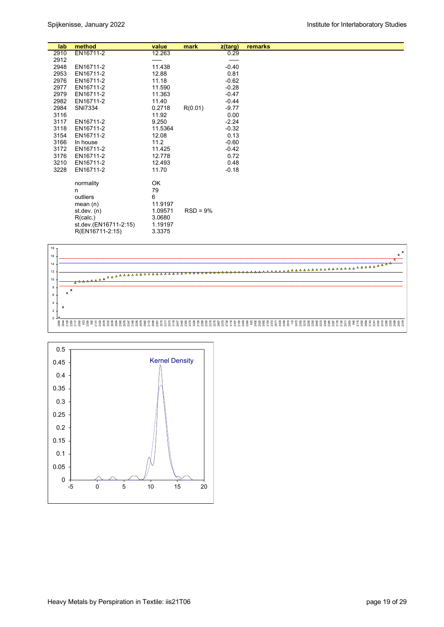| lab  | method                | value   | mark       | $z$ (targ) | remarks |
|------|-----------------------|---------|------------|------------|---------|
| 2910 | EN16711-2             | 12.263  |            | 0.29       |         |
| 2912 |                       | -----   |            | -----      |         |
| 2948 | EN16711-2             | 11.438  |            | $-0.40$    |         |
| 2953 | EN16711-2             | 12.88   |            | 0.81       |         |
| 2976 | EN16711-2             | 11.18   |            | $-0.62$    |         |
| 2977 | EN16711-2             | 11.590  |            | $-0.28$    |         |
| 2979 | EN16711-2             | 11.363  |            | $-0.47$    |         |
| 2982 | EN16711-2             | 11.40   |            | $-0.44$    |         |
| 2984 | SNI7334               | 0.2718  | R(0.01)    | $-9.77$    |         |
| 3116 |                       | 11.92   |            | 0.00       |         |
| 3117 | EN16711-2             | 9.250   |            | $-2.24$    |         |
| 3118 | EN16711-2             | 11.5364 |            | $-0.32$    |         |
| 3154 | EN16711-2             | 12.08   |            | 0.13       |         |
| 3166 | In house              | 11.2    |            | $-0.60$    |         |
| 3172 | EN16711-2             | 11.425  |            | $-0.42$    |         |
| 3176 | EN16711-2             | 12.778  |            | 0.72       |         |
| 3210 | EN16711-2             | 12.493  |            | 0.48       |         |
| 3228 | EN16711-2             | 11.70   |            | $-0.18$    |         |
|      | normality             | OK      |            |            |         |
|      | n                     | 79      |            |            |         |
|      | outliers              | 6       |            |            |         |
|      | mean $(n)$            | 11.9197 |            |            |         |
|      | st. dev. (n)          | 1.09571 | $RSD = 9%$ |            |         |
|      | R(calc.)              | 3.0680  |            |            |         |
|      | st.dev.(EN16711-2:15) | 1.19197 |            |            |         |
|      | R(EN16711-2:15)       | 3.3375  |            |            |         |
|      |                       |         |            |            |         |



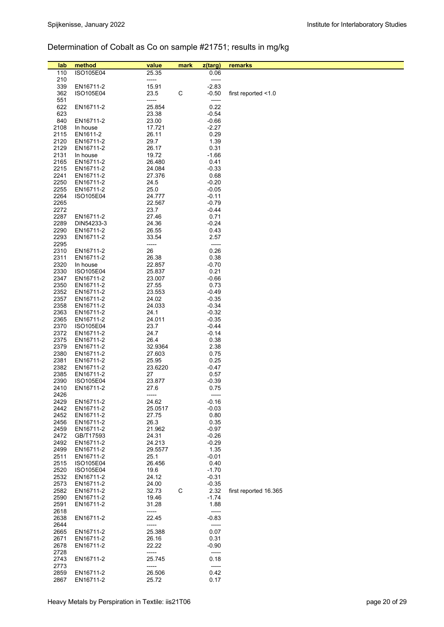# Determination of Cobalt as Co on sample #21751; results in mg/kg

| lab          | method                 | value           | mark | z(targ)      | remarks               |
|--------------|------------------------|-----------------|------|--------------|-----------------------|
| 110          | <b>ISO105E04</b>       | 25.35           |      | 0.06         |                       |
| 210          |                        | -----           |      | -----        |                       |
| 339          | EN16711-2              | 15.91           |      | $-2.83$      |                       |
| 362          | ISO105E04              | 23.5            | С    | $-0.50$      | first reported <1.0   |
| 551          |                        | -----           |      | -----        |                       |
| 622          | EN16711-2              | 25.854          |      | 0.22         |                       |
| 623          |                        | 23.38           |      | $-0.54$      |                       |
| 840          | EN16711-2              | 23.00           |      | $-0.66$      |                       |
| 2108         | In house               | 17.721          |      | $-2.27$      |                       |
| 2115         | EN1611-2               | 26.11           |      | 0.29         |                       |
| 2120         | EN16711-2              | 29.7            |      | 1.39         |                       |
| 2129         | EN16711-2              | 26.17           |      | 0.31         |                       |
| 2131         | In house               | 19.72           |      | $-1.66$      |                       |
| 2165         | EN16711-2              | 26.480          |      | 0.41         |                       |
| 2215         | EN16711-2              | 24.084          |      | $-0.33$      |                       |
| 2241         | EN16711-2              | 27.376          |      | 0.68         |                       |
| 2250         | EN16711-2              | 24.5            |      | $-0.20$      |                       |
| 2255         | EN16711-2              | 25.0            |      | $-0.05$      |                       |
| 2264         | ISO105E04              | 24.777          |      | $-0.11$      |                       |
| 2265         |                        | 22.567          |      | $-0.79$      |                       |
| 2272         |                        | 23.7            |      | $-0.44$      |                       |
| 2287         | EN16711-2              | 27.46           |      | 0.71         |                       |
| 2289         | DIN54233-3             | 24.36           |      | $-0.24$      |                       |
| 2290         | EN16711-2              | 26.55           |      | 0.43         |                       |
| 2293         | EN16711-2              | 33.54           |      | 2.57         |                       |
| 2295         |                        | -----           |      | -----        |                       |
| 2310         | EN16711-2              | 26              |      | 0.26         |                       |
| 2311         | EN16711-2              | 26.38           |      | 0.38         |                       |
| 2320         | In house               | 22.857          |      | $-0.70$      |                       |
| 2330         | ISO105E04              | 25.837          |      | 0.21         |                       |
| 2347         | EN16711-2              | 23.007          |      | $-0.66$      |                       |
| 2350         | EN16711-2              | 27.55           |      | 0.73         |                       |
| 2352         | EN16711-2              | 23.553          |      | $-0.49$      |                       |
| 2357         | EN16711-2              | 24.02           |      | $-0.35$      |                       |
| 2358         | EN16711-2              | 24.033          |      | $-0.34$      |                       |
| 2363         | EN16711-2              | 24.1            |      | $-0.32$      |                       |
| 2365         | EN16711-2              | 24.011          |      | $-0.35$      |                       |
| 2370         | ISO105E04              | 23.7            |      | $-0.44$      |                       |
| 2372         | EN16711-2              | 24.7            |      | $-0.14$      |                       |
| 2375<br>2379 | EN16711-2<br>EN16711-2 | 26.4<br>32.9364 |      | 0.38<br>2.38 |                       |
| 2380         | EN16711-2              | 27.603          |      | 0.75         |                       |
| 2381         | EN16711-2              | 25.95           |      | 0.25         |                       |
| 2382         | EN16711-2              | 23.6220         |      | $-0.47$      |                       |
| 2385         | EN16711-2              | 27              |      | 0.57         |                       |
| 2390         | ISO105E04              | 23.877          |      | $-0.39$      |                       |
| 2410         | EN16711-2              | 27.6            |      | 0.75         |                       |
| 2426         |                        | -----           |      | -----        |                       |
| 2429         | EN16711-2              | 24.62           |      | $-0.16$      |                       |
| 2442         | EN16711-2              | 25.0517         |      | $-0.03$      |                       |
| 2452         | EN16711-2              | 27.75           |      | 0.80         |                       |
| 2456         | EN16711-2              | 26.3            |      | 0.35         |                       |
| 2459         | EN16711-2              | 21.962          |      | $-0.97$      |                       |
| 2472         | GB/T17593              | 24.31           |      | $-0.26$      |                       |
| 2492         | EN16711-2              | 24.213          |      | $-0.29$      |                       |
| 2499         | EN16711-2              | 29.5577         |      | 1.35         |                       |
| 2511         | EN16711-2              | 25.1            |      | $-0.01$      |                       |
| 2515         | ISO105E04              | 26.456          |      | 0.40         |                       |
| 2520         | ISO105E04              | 19.6            |      | $-1.70$      |                       |
| 2532         | EN16711-2              | 24.12           |      | $-0.31$      |                       |
| 2573         | EN16711-2              | 24.00           |      | $-0.35$      |                       |
| 2582         | EN16711-2              | 32.73           | C    | 2.32         | first reported 16.365 |
| 2590         | EN16711-2              | 19.46           |      | $-1.74$      |                       |
| 2591         | EN16711-2              | 31.28           |      | 1.88         |                       |
| 2618         |                        | -----           |      | -----        |                       |
| 2638         | EN16711-2              | 22.45           |      | $-0.83$      |                       |
| 2644         |                        | -----           |      | -----        |                       |
| 2665         | EN16711-2              | 25.388          |      | 0.07         |                       |
| 2671         | EN16711-2              | 26.16           |      | 0.31         |                       |
| 2678         | EN16711-2              | 22.22           |      | $-0.90$      |                       |
| 2728         |                        | -----           |      | -----        |                       |
| 2743         | EN16711-2              | 25.745          |      | 0.18         |                       |
| 2773         |                        | -----           |      | -----        |                       |
| 2859         | EN16711-2              | 26.506          |      | 0.42         |                       |
| 2867         | EN16711-2              | 25.72           |      | 0.17         |                       |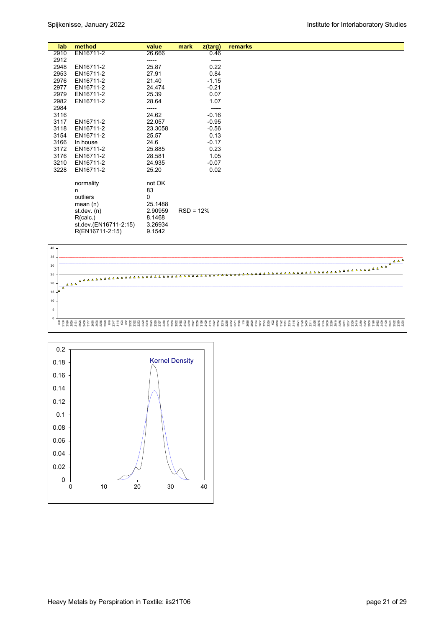| lab  | method                                                   | value                                   | mark        | z(targ) | remarks |
|------|----------------------------------------------------------|-----------------------------------------|-------------|---------|---------|
| 2910 | EN16711-2                                                | 26.666                                  |             | 0.46    |         |
| 2912 |                                                          | -----                                   |             | -----   |         |
| 2948 | EN16711-2                                                | 25.87                                   |             | 0.22    |         |
| 2953 | EN16711-2                                                | 27.91                                   |             | 0.84    |         |
| 2976 | EN16711-2                                                | 21.40                                   |             | $-1.15$ |         |
| 2977 | EN16711-2                                                | 24.474                                  |             | $-0.21$ |         |
| 2979 | EN16711-2                                                | 25.39                                   |             | 0.07    |         |
| 2982 | EN16711-2                                                | 28.64                                   |             | 1.07    |         |
| 2984 |                                                          | -----                                   |             | -----   |         |
| 3116 |                                                          | 24.62                                   |             | $-0.16$ |         |
| 3117 | EN16711-2                                                | 22.057                                  |             | $-0.95$ |         |
| 3118 | EN16711-2                                                | 23.3058                                 |             | $-0.56$ |         |
| 3154 | EN16711-2                                                | 25.57                                   |             | 0.13    |         |
| 3166 | In house                                                 | 24.6                                    |             | $-0.17$ |         |
| 3172 | EN16711-2                                                | 25.885                                  |             | 0.23    |         |
| 3176 | EN16711-2                                                | 28.581                                  |             | 1.05    |         |
| 3210 | EN16711-2                                                | 24.935                                  |             | $-0.07$ |         |
| 3228 | EN16711-2                                                | 25.20                                   |             | 0.02    |         |
|      | normality<br>n<br>outliers<br>mean $(n)$<br>st. dev. (n) | not OK<br>83<br>0<br>25.1488<br>2.90959 | $RSD = 12%$ |         |         |
|      | R(calc.)<br>st.dev.(EN16711-2:15)<br>R(EN16711-2:15)     | 8.1468<br>3.26934<br>9.1542             |             |         |         |



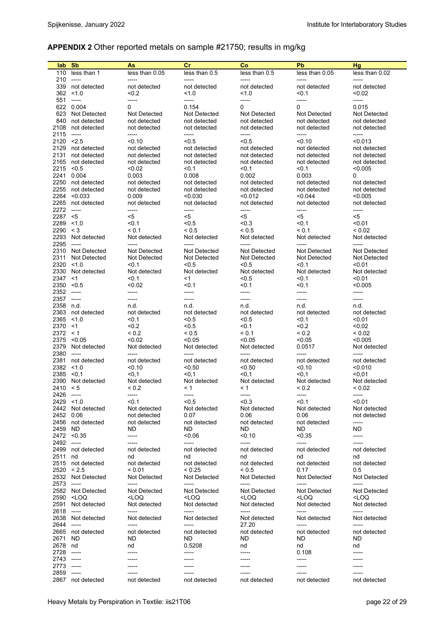#### **APPENDIX 2** Other reported metals on sample #21750; results in mg/kg

| lab.                  | <b>Sb</b>                                                                                                                                                       | As                                                                                                                                  | cr                                                                                                      | Co                                                                          | Pb                                              | <b>Hg</b>               |
|-----------------------|-----------------------------------------------------------------------------------------------------------------------------------------------------------------|-------------------------------------------------------------------------------------------------------------------------------------|---------------------------------------------------------------------------------------------------------|-----------------------------------------------------------------------------|-------------------------------------------------|-------------------------|
| 110<br>210            | less than 1<br>$-----$                                                                                                                                          | less than 0.05<br>-----                                                                                                             | less than 0.5<br>-----                                                                                  | less than 0.5<br>-----                                                      | less than 0.05<br>-----                         | less than 0.02<br>----- |
| 339                   | not detected                                                                                                                                                    | not detected                                                                                                                        | not detected                                                                                            | not detected                                                                | not detected                                    | not detected            |
| 362                   | < 1.0                                                                                                                                                           | < 0.2                                                                                                                               | 1.0                                                                                                     | 1.0                                                                         | < 0.1                                           | < 0.02                  |
| 551                   | $\cdots$                                                                                                                                                        | -----                                                                                                                               | -----                                                                                                   | -----                                                                       | -----                                           | -----                   |
|                       | 622 0.004                                                                                                                                                       | 0                                                                                                                                   | 0.154                                                                                                   | 0                                                                           | 0                                               | 0.015                   |
|                       | 623 Not Detected                                                                                                                                                | Not Detected                                                                                                                        | Not Detected                                                                                            | Not Detected                                                                | Not Detected                                    | Not Detected            |
| 840                   | not detected                                                                                                                                                    | not detected                                                                                                                        | not detected                                                                                            | not detected                                                                | not detected                                    | not detected            |
| 2108                  | not detected                                                                                                                                                    | not detected                                                                                                                        | not detected                                                                                            | not detected                                                                | not detected                                    | not detected            |
| 2115                  | $\cdots$                                                                                                                                                        | -----                                                                                                                               | -----                                                                                                   | -----                                                                       | -----                                           | $-----$                 |
| 2120 < 2.5<br>2129    | not detected                                                                                                                                                    | < 0.10<br>not detected                                                                                                              | < 0.5<br>not detected                                                                                   | < 0.5<br>not detected                                                       | < 0.10<br>not detected                          | < 0.013<br>not detected |
| 2131                  | not detected                                                                                                                                                    | not detected                                                                                                                        | not detected                                                                                            | not detected                                                                | not detected                                    | not detected            |
| 2165                  | not detected                                                                                                                                                    | not detected                                                                                                                        | not detected                                                                                            | not detected                                                                | not detected                                    | not detected            |
| 2215                  | < 0.5                                                                                                                                                           | < 0.02                                                                                                                              | < 0.1                                                                                                   | < 0.1                                                                       | <0.1                                            | < 0.005                 |
| 2241                  | 0.004                                                                                                                                                           | 0.003                                                                                                                               | 0.008                                                                                                   | 0.002                                                                       | 0.003                                           | 0                       |
| 2250                  | not detected                                                                                                                                                    | not detected                                                                                                                        | not detected                                                                                            | not detected                                                                | not detected                                    | not detected            |
| 2255                  | not detected                                                                                                                                                    | not detected                                                                                                                        | not detected                                                                                            | not detected                                                                | not detected                                    | not detected            |
| 2264                  | < 0.033                                                                                                                                                         | 0.009                                                                                                                               | < 0.030                                                                                                 | < 0.012                                                                     | < 0.044                                         | < 0.005                 |
| 2265                  | not detected                                                                                                                                                    | not detected                                                                                                                        | not detected                                                                                            | not detected                                                                | not detected                                    | not detected            |
| 2272<br>2287          | $-----$<br><5                                                                                                                                                   | -----<br><5                                                                                                                         | -----<br><5                                                                                             | -----<br><5                                                                 | -----<br><5                                     | -----<br><5             |
| $2289$ < 1.0          |                                                                                                                                                                 | < 0.1                                                                                                                               | < 0.5                                                                                                   | < 0.3                                                                       | <0.1                                            | < 0.01                  |
| 2290 < 3              |                                                                                                                                                                 | < 0.1                                                                                                                               | ${}_{0.5}$                                                                                              | ${}_{0.5}$                                                                  | < 0.1                                           | ${}_{0.02}$             |
| 2293                  | Not detected                                                                                                                                                    | Not detected                                                                                                                        | Not detected                                                                                            | Not detected                                                                | Not detected                                    | Not detected            |
| 2295                  | $-----$                                                                                                                                                         | -----                                                                                                                               | -----                                                                                                   | -----                                                                       | -----                                           | -----                   |
|                       | 2310 Not Detected                                                                                                                                               | <b>Not Detected</b>                                                                                                                 | Not Detected                                                                                            | Not Detected                                                                | Not Detected                                    | Not Detected            |
| 2311                  | Not Detected                                                                                                                                                    | Not Detected                                                                                                                        | Not Detected                                                                                            | Not Detected                                                                | Not Detected                                    | Not Detected            |
| $2320$ < 1.0          |                                                                                                                                                                 | < 0.1                                                                                                                               | < 0.5                                                                                                   | < 0.5                                                                       | < 0.1                                           | < 0.01                  |
| 2330                  | Not detected                                                                                                                                                    | Not detected                                                                                                                        | Not detected                                                                                            | Not detected                                                                | Not detected                                    | Not detected            |
| 2347<br>2350          | $<$ 1<br>< 0.5                                                                                                                                                  | $0.1$<br>< 0.02                                                                                                                     | $<$ 1<br>< 0.1                                                                                          | < 0.5<br>< 0.1                                                              | $0.1$<br>< 0.1                                  | < 0.01<br>< 0.005       |
| 2352                  | $-----$                                                                                                                                                         | -----                                                                                                                               |                                                                                                         | -----                                                                       | -----                                           | -----                   |
| 2357                  | 1.111                                                                                                                                                           | -----                                                                                                                               | -----                                                                                                   | -----                                                                       | -----                                           | -----                   |
| 2358 n.d.             |                                                                                                                                                                 | n.d.                                                                                                                                | n.d.                                                                                                    | n.d.                                                                        | n.d.                                            | n.d.                    |
|                       | 2363 not detected                                                                                                                                               | not detected                                                                                                                        | not detected                                                                                            | not detected                                                                | not detected                                    | not detected            |
| 2365                  | 1.0                                                                                                                                                             | < 0.1                                                                                                                               | < 0.5                                                                                                   | < 0.5                                                                       | < 0.1                                           | < 0.01                  |
| 2370                  | <1                                                                                                                                                              | < 0.2                                                                                                                               | < 0.5                                                                                                   | < 0.1                                                                       | 0.2                                             | < 0.02                  |
| 2372 < 1              |                                                                                                                                                                 | ${}_{0.2}$                                                                                                                          | ${}_{0.5}$                                                                                              | < 0.1                                                                       | < 0.2                                           | ${}_{0.02}$             |
| 2379                  | 2375 < 0.05<br>Not detected                                                                                                                                     | < 0.02<br>Not detected                                                                                                              | < 0.05<br>Not detected                                                                                  | < 0.05<br>Not detected                                                      | <0.05<br>0.0517                                 | < 0.005<br>Not detected |
| 2380                  |                                                                                                                                                                 | -----                                                                                                                               | -----                                                                                                   | -----                                                                       | -----                                           |                         |
| 2381                  | not detected                                                                                                                                                    | not detected                                                                                                                        | not detected                                                                                            | not detected                                                                | not detected                                    | not detected            |
| 2382                  | 1.0                                                                                                                                                             | 50.10                                                                                                                               | < 0.50                                                                                                  | < 0.50                                                                      | <0.10                                           | < 0.010                 |
| 2385                  | < 0.1                                                                                                                                                           | < 0, 1                                                                                                                              | $0,1$                                                                                                   | $0,1$                                                                       | $0,1$                                           | $0,01$                  |
| 2390                  | Not detected                                                                                                                                                    | Not detected                                                                                                                        | Not detected                                                                                            | Not detected                                                                | Not detected                                    | Not detected            |
| 2410                  | $\leq 5$                                                                                                                                                        | ${}_{0.2}$                                                                                                                          | $\leq 1$                                                                                                | $\leq 1$                                                                    | < 0.2                                           | ${}_{0.02}$             |
| 2426 -----            |                                                                                                                                                                 | -----                                                                                                                               | -----                                                                                                   | -----                                                                       | -----                                           | -----                   |
| $2429$ < 1.0          |                                                                                                                                                                 | < 0.1                                                                                                                               | < 0.5                                                                                                   | < 0.3                                                                       | < 0.1                                           | < 0.01                  |
|                       | 2442 Not detected                                                                                                                                               | Not detected                                                                                                                        | Not detected                                                                                            | Not detected                                                                | Not detected                                    | Not detected            |
| 2452                  | 0.06<br>2456 not detected                                                                                                                                       | not detected<br>not detected                                                                                                        | 0.07<br>not detected                                                                                    | 0.06<br>not detected                                                        | 0.06<br>not detected                            | not detected<br>-----   |
| 2459                  | ND.                                                                                                                                                             | ND.                                                                                                                                 | ND.                                                                                                     | ND.                                                                         | ND.                                             | ND                      |
|                       | 2472 < 0.35                                                                                                                                                     | -----                                                                                                                               | < 0.06                                                                                                  | < 0.10                                                                      | < 0.35                                          | -----                   |
| 2492                  | $-----$                                                                                                                                                         |                                                                                                                                     | -----                                                                                                   | -----                                                                       | -----                                           |                         |
| 2499                  | not detected                                                                                                                                                    | not detected                                                                                                                        | not detected                                                                                            | not detected                                                                | not detected                                    | not detected            |
| 2511                  | nd                                                                                                                                                              | nd                                                                                                                                  | nd                                                                                                      | nd                                                                          | nd                                              | nd                      |
|                       | 2515 not detected                                                                                                                                               | not detected                                                                                                                        | not detected                                                                                            | not detected                                                                | not detected                                    | not detected            |
| 2520<br>2532          | < 2.5<br>Not Detected                                                                                                                                           | < 0.01<br>Not Detected                                                                                                              | < 0.25<br>Not Detected                                                                                  | < 0.5<br>Not Detected                                                       | 0.17<br>Not Detected                            | 0.5<br>Not Detected     |
| 2573                  | $-----$                                                                                                                                                         | -----                                                                                                                               | -----                                                                                                   | -----                                                                       | -----                                           | -----                   |
|                       | 2582 Not Detected                                                                                                                                               | Not Detected                                                                                                                        | Not Detected                                                                                            | Not Detected                                                                | Not Detected                                    | Not Detected            |
| 2590                  | <loq< td=""><td><loq< td=""><td><loq< td=""><td><loq< td=""><td><loq< td=""><td><loq< td=""></loq<></td></loq<></td></loq<></td></loq<></td></loq<></td></loq<> | <loq< td=""><td><loq< td=""><td><loq< td=""><td><loq< td=""><td><loq< td=""></loq<></td></loq<></td></loq<></td></loq<></td></loq<> | <loq< td=""><td><loq< td=""><td><loq< td=""><td><loq< td=""></loq<></td></loq<></td></loq<></td></loq<> | <loq< td=""><td><loq< td=""><td><loq< td=""></loq<></td></loq<></td></loq<> | <loq< td=""><td><loq< td=""></loq<></td></loq<> | <loq< td=""></loq<>     |
| 2591                  | Not detected                                                                                                                                                    | Not detected                                                                                                                        | Not detected                                                                                            | Not detected                                                                | Not detected                                    | Not detected            |
| 2618                  | $-----$                                                                                                                                                         | -----                                                                                                                               | -----                                                                                                   | -----                                                                       | -----                                           | -----                   |
| 2638                  | Not detected                                                                                                                                                    | Not detected                                                                                                                        | Not detected                                                                                            | Not detected                                                                | Not detected                                    | Not detected            |
| 2644                  | $-----$                                                                                                                                                         | -----                                                                                                                               | -----                                                                                                   | 27.20                                                                       | -----                                           | -----                   |
|                       | 2665 not detected                                                                                                                                               | not detected                                                                                                                        | not detected                                                                                            | not detected                                                                | not detected                                    | not detected            |
| 2671                  | ND.                                                                                                                                                             | ND.                                                                                                                                 | ND.                                                                                                     | ND.                                                                         | ND                                              | ND.                     |
| 2678 nd<br>2728 ----- |                                                                                                                                                                 | nd<br>-----                                                                                                                         | 0.5208<br>-----                                                                                         | nd                                                                          | nd<br>0.108                                     | nd                      |
| 2743 -----            |                                                                                                                                                                 | -----                                                                                                                               | -----                                                                                                   | -----                                                                       | -----                                           |                         |
| 2773 -----            |                                                                                                                                                                 | -----                                                                                                                               | -----                                                                                                   |                                                                             | -----                                           |                         |
| 2859 -----            |                                                                                                                                                                 | -----                                                                                                                               | -----                                                                                                   | -----                                                                       | -----                                           | -----                   |

2867 not detected not detected not detected not detected not detected not detected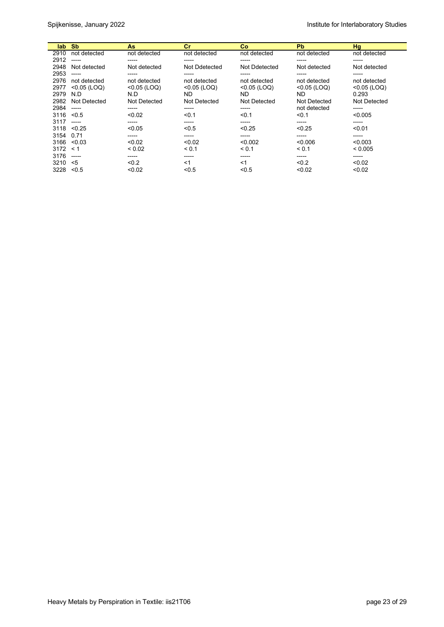| lab. | <b>Sb</b>      | As.            | cr             | Co             | <b>Pb</b>      | Hg             |
|------|----------------|----------------|----------------|----------------|----------------|----------------|
| 2910 | not detected   | not detected   | not detected   | not detected   | not detected   | not detected   |
| 2912 | $- - - - -$    | -----          | -----          | -----          | -----          | -----          |
| 2948 | Not detected   | Not detected   | Not Ddetected  | Not Ddetected  | Not detected   | Not detected   |
| 2953 | -----          | -----          | -----          |                | -----          | -----          |
| 2976 | not detected   | not detected   | not detected   | not detected   | not detected   | not detected   |
| 2977 | $< 0.05$ (LOQ) | $< 0.05$ (LOQ) | $< 0.05$ (LOQ) | $< 0.05$ (LOQ) | $< 0.05$ (LOQ) | $< 0.05$ (LOQ) |
| 2979 | N.D            | N.D            | ND             | ND.            | ND             | 0.293          |
| 2982 | Not Detected   | Not Detected   | Not Detected   | Not Detected   | Not Detected   | Not Detected   |
| 2984 | ------         | -----          | -----          | -----          | not detected   | -----          |
| 3116 | < 0.5          | < 0.02         | < 0.1          | < 0.1          | < 0.1          | < 0.005        |
| 3117 | -----          | -----          | -----          | -----          | -----          | -----          |
| 3118 | < 0.25         | < 0.05         | < 0.5          | < 0.25         | < 0.25         | < 0.01         |
| 3154 | 0.71           | -----          | -----          | -----          | -----          | -----          |
| 3166 | < 0.03         | < 0.02         | < 0.02         | < 0.002        | < 0.006        | < 0.003        |
| 3172 | $\leq 1$       | ${}_{0.02}$    | < 0.1          | < 0.1          | < 0.1          | < 0.005        |
| 3176 | -----          | -----          | -----          | -----          | -----          | -----          |
| 3210 | <5             | < 0.2          | $<$ 1          | <1             | < 0.2          | < 0.02         |
| 3228 | < 0.5          | < 0.02         | < 0.5          | < 0.5          | < 0.02         | < 0.02         |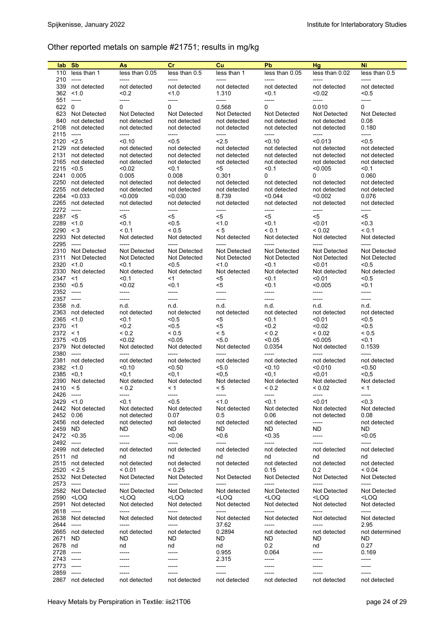# Other reported metals on sample #21751; results in mg/kg

| lab                                | <b>S<sub>b</sub></b>                                        | As                                                         | cr                                                           | Cu                                                             | <b>Pb</b>                                                  | Hg                                                             | Ni                                          |
|------------------------------------|-------------------------------------------------------------|------------------------------------------------------------|--------------------------------------------------------------|----------------------------------------------------------------|------------------------------------------------------------|----------------------------------------------------------------|---------------------------------------------|
| 110                                | less than 1<br>$-----$                                      | less than 0.05<br>$---$                                    | less than 0.5<br>-----                                       | less than 1<br>$-----$                                         | less than 0.05<br>$--- -$                                  | less than 0.02<br>$--- -$                                      | less than 0.5<br>-----                      |
| 210<br>339<br>362                  | not detected<br>< 1.0                                       | not detected<br>$0.2$                                      | not detected<br>1.0                                          | not detected<br>1.310                                          | not detected<br>< 0.1                                      | not detected<br>< 0.02                                         | not detected<br>< 0.5                       |
| 551<br>622 0<br>623<br>840<br>2108 | $- - - - -$<br>Not Detected<br>not detected<br>not detected | -----<br>0<br>Not Detected<br>not detected<br>not detected | $-----$<br>0<br>Not Detected<br>not detected<br>not detected | -----<br>0.568<br>Not Detected<br>not detected<br>not detected | -----<br>0<br>Not Detected<br>not detected<br>not detected | -----<br>0.010<br>Not Detected<br>not detected<br>not detected | -----<br>0<br>Not Detected<br>0.08<br>0.180 |
| 2115                               | $-----$                                                     | -----                                                      | -----                                                        | -----                                                          | $--- -$                                                    | -----                                                          | -----                                       |
| 2120<br>2129                       | < 2.5<br>not detected                                       | < 0.10<br>not detected                                     | < 0.5<br>not detected                                        | 2.5<br>not detected                                            | < 0.10<br>not detected                                     | < 0.013<br>not detected                                        | < 0.5<br>not detected                       |
| 2131                               | not detected                                                | not detected                                               | not detected                                                 | not detected                                                   | not detected                                               | not detected                                                   | not detected                                |
| 2165<br>2215                       | not detected<br>< 0.5                                       | not detected<br>< 0.02                                     | not detected<br>< 0.1                                        | not detected<br><5                                             | not detected<br>< 0.1                                      | not detected<br>< 0.005                                        | not detected<br>$0.1$                       |
| 2241                               | 0.005                                                       | 0.005                                                      | 0.008                                                        | 0.301                                                          | 0                                                          | 0                                                              | 0.060                                       |
| 2250                               | not detected                                                | not detected                                               | not detected                                                 | not detected                                                   | not detected                                               | not detected                                                   | not detected                                |
| 2255<br>2264                       | not detected<br>< 0.033                                     | not detected<br>< 0.009                                    | not detected<br>< 0.030                                      | not detected<br>8.739                                          | not detected<br>< 0.044                                    | not detected<br>< 0.002                                        | not detected<br>0.076                       |
| 2265                               | not detected                                                | not detected                                               | not detected                                                 | not detected                                                   | not detected                                               | not detected                                                   | not detected                                |
| 2272                               | $-----$                                                     | -----                                                      | -----                                                        | -----                                                          | $-----$                                                    | -----                                                          | -----                                       |
| 2287<br>2289                       | $<$ 5<br>< 1.0                                              | <5<br>< 0.1                                                | $<$ 5<br>< 0.5                                               | $<$ 5<br>1.0                                                   | <5<br>$0.1$                                                | <5<br>< 0.01                                                   | <5<br>< 0.3                                 |
| 2290                               | $\leq 3$                                                    | < 0.1                                                      | < 0.5                                                        | < 5                                                            | < 0.1                                                      | ${}_{0.02}$                                                    | < 0.1                                       |
| 2293<br>2295                       | Not detected<br>$-----$                                     | Not detected<br>-----                                      | Not detected<br>$--- -$                                      | Not detected<br>$--- -$                                        | Not detected<br>$--- -$                                    | Not detected<br>-----                                          | Not detected<br>-----                       |
| 2310<br>2311                       | Not Detected<br>Not Detected                                | Not Detected<br>Not Detected                               | Not Detected<br>Not Detected                                 | Not Detected<br>Not Detected                                   | Not Detected<br>Not Detected                               | Not Detected<br>Not Detected                                   | Not Detected<br><b>Not Detected</b>         |
| 2320                               | < 1.0                                                       | $0.1$                                                      | < 0.5                                                        | 1.0                                                            | < 0.1                                                      | < 0.01                                                         | < 0.5                                       |
| 2330<br>2347                       | Not detected<br>$<$ 1                                       | Not detected<br>< 0.1                                      | Not detected<br>$<$ 1                                        | Not detected<br><5                                             | Not detected<br>< 0.1                                      | Not detected<br><0.01                                          | Not detected<br><0.5                        |
| 2350                               | < 0.5                                                       | < 0.02                                                     | < 0.1                                                        | <5                                                             | < 0.1                                                      | < 0.005                                                        | $0.1$                                       |
| 2352                               | $- - - - -$                                                 | -----<br>-----                                             | -----<br>$--- -$                                             | -----<br>$- - - -$                                             | -----<br>$- - - -$                                         | -----<br>-----                                                 | -----                                       |
| 2357<br>2358                       | $- - - - -$<br>n.d.                                         | n.d.                                                       | n.d.                                                         | n.d.                                                           | n.d.                                                       | n.d.                                                           | -----<br>n.d.                               |
| 2363                               | not detected                                                | not detected                                               | not detected                                                 | not detected                                                   | not detected                                               | not detected                                                   | not detected                                |
| 2365<br>2370                       | < 1.0<br><1                                                 | < 0.1<br>< 0.2                                             | < 0.5<br>< 0.5                                               | <5<br>$5$                                                      | < 0.1<br>< 0.2                                             | <0.01<br>< 0.02                                                | < 0.5<br>< 0.5                              |
| 2372                               | $\leq 1$                                                    | ${}^{5}$ 0.2                                               | ${}_{0.5}$                                                   | < 5                                                            | ${}_{0.2}$                                                 | ${}_{0.02}$                                                    | ${}_{0.5}$                                  |
| 2375                               | < 0.05                                                      | < 0.02                                                     | < 0.05                                                       | 5.0                                                            | < 0.05                                                     | < 0.005                                                        | < 0.1                                       |
| 2379<br>2380                       | Not detected<br>$-----$                                     | Not detected<br>-----                                      | Not detected<br>-----                                        | Not detected<br>-----                                          | 0.0354<br>-----                                            | Not detected<br>-----                                          | 0.1539<br>-----                             |
| 2381                               | not detected                                                | not detected                                               | not detected                                                 | not detected                                                   | not detected                                               | not detected                                                   | not detected                                |
| 2382                               | < 1.0                                                       | < 0.10                                                     | < 0.50                                                       | 5.0                                                            | 50.10                                                      | <0.010                                                         | < 0.50                                      |
| 2385<br>2390                       | < 0.1<br>Not detected                                       | $0,1$<br>Not detected                                      | < 0.1<br>Not detected                                        | < 0.5<br>Not detected                                          | < 0.1<br>Not detected                                      | <0,01<br>Not detected                                          | < 0.5<br>Not detected                       |
| 2410                               | $\leq 5$                                                    | ${}^{5}$ 0.2                                               | $\leq 1$                                                     | < 5                                                            | ${}^{5}$ 0.2                                               | < 0.02                                                         | < 1                                         |
| 2426 -----<br>$2429$ < 1.0         |                                                             | -----<br>< 0.1                                             | -----<br>< 0.5                                               | -----<br>1.0                                                   | -----<br>< 0.1                                             | -----<br>< 0.01                                                | -----<br>< 0.3                              |
|                                    | 2442 Not detected                                           | Not detected                                               | Not detected                                                 | Not detected                                                   | Not detected                                               | Not detected                                                   | Not detected                                |
| 2452 0.06                          |                                                             | not detected                                               | 0.07                                                         | 0.5                                                            | 0.06                                                       | not detected                                                   | 0.08                                        |
| 2459                               | 2456 not detected<br>ND.                                    | not detected<br>ND.                                        | not detected<br>ND.                                          | not detected<br>ND.                                            | not detected<br>ND.                                        | -----<br>ND.                                                   | not detected<br><b>ND</b>                   |
|                                    | 2472 < 0.35                                                 | -----                                                      | 0.06                                                         | <0.6                                                           | < 0.35                                                     | -----                                                          | < 0.05                                      |
| 2492 -----                         | 2499 not detected                                           | -----<br>not detected                                      | -----<br>not detected                                        | -----<br>not detected                                          | -----<br>not detected                                      | $--- -$<br>not detected                                        | -----<br>not detected                       |
| 2511                               | nd                                                          | nd                                                         | nd                                                           | nd                                                             | nd                                                         | nd                                                             | nd                                          |
|                                    | 2515 not detected                                           | not detected                                               | not detected                                                 | not detected                                                   | not detected                                               | not detected                                                   | not detected                                |
|                                    | 2520 < 2.5<br>2532 Not Detected                             | < 0.01<br>Not Detected                                     | < 0.25<br>Not Detected                                       | $\mathbf{1}$<br>Not Detected                                   | 0.15<br>Not Detected                                       | 0.2<br>Not Detected                                            | ${}_{0.04}$<br>Not Detected                 |
| 2573 -----                         |                                                             | -----                                                      | -----                                                        | -----                                                          | -----                                                      | -----                                                          | -----                                       |
|                                    | 2582 Not Detected                                           | Not Detected                                               | Not Detected                                                 | Not detected                                                   | Not Detected                                               | Not Detected                                                   | Not Detected                                |
| 2591                               | 2590 <loq<br>Not detected</loq<br>                          | <loq<br>Not detected</loq<br>                              | <loq<br>Not detected</loq<br>                                | <loq<br>Not detected</loq<br>                                  | <loq<br>Not detected</loq<br>                              | <loq<br>Not detected</loq<br>                                  | <loq<br>Not detected</loq<br>               |
| 2618                               | $- - - - -$<br>2638 Not detected                            | -----<br>Not detected                                      | -----<br>Not detected                                        | -----<br>Not detected                                          | -----<br>Not detected                                      | -----<br>Not detected                                          | $-----$<br>Not detected                     |
| 2644                               | $-----$<br>2665 not detected                                | -----<br>not detected                                      | -----<br>not detected                                        | 37.62<br>0.2894                                                | -----<br>not detected                                      | -----<br>not detected                                          | 2.95<br>not determined                      |
| 2671                               | ND.                                                         | ND.                                                        | ND.                                                          | ND.                                                            | ND.                                                        | ND                                                             | ND.                                         |
| 2678 nd                            |                                                             | nd                                                         | nd                                                           | nd                                                             | 0.2                                                        | nd                                                             | 0.27                                        |
| 2728<br>2743 -----                 | $-----$                                                     | -----<br>-----                                             | -----<br>-----                                               | 0.955<br>2.315                                                 | 0.064<br>-----                                             | -----<br>-----                                                 | 0.169<br>-----                              |
| 2773                               | -----                                                       |                                                            |                                                              | -----                                                          | -----                                                      | -----                                                          | -----                                       |
| 2859                               | $-----$                                                     |                                                            |                                                              | -----                                                          |                                                            |                                                                |                                             |
| 2867                               | not detected                                                | not detected                                               | not detected                                                 | not detected                                                   | not detected                                               | not detected                                                   | not detected                                |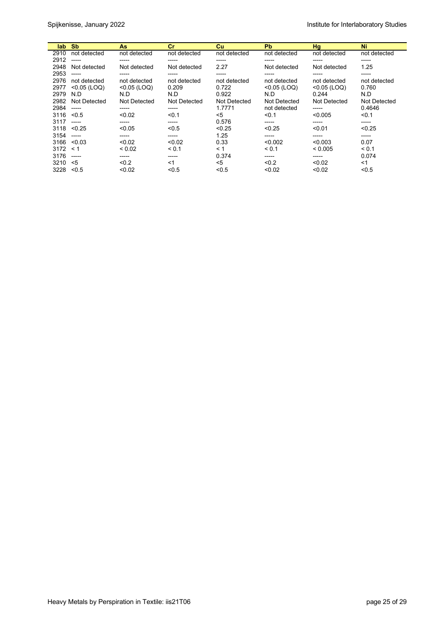| lab. | <b>Sb</b>      | As             | cr           | <b>Cu</b>    | <b>Pb</b>      | Hg             | Ni           |
|------|----------------|----------------|--------------|--------------|----------------|----------------|--------------|
| 2910 | not detected   | not detected   | not detected | not detected | not detected   | not detected   | not detected |
| 2912 | -----          | -----          | -----        | -----        | -----          | -----          | -----        |
| 2948 | Not detected   | Not detected   | Not detected | 2.27         | Not detected   | Not detected   | 1.25         |
| 2953 | -----          | -----          | -----        | -----        | -----          | -----          | -----        |
| 2976 | not detected   | not detected   | not detected | not detected | not detected   | not detected   | not detected |
| 2977 | $< 0.05$ (LOQ) | $< 0.05$ (LOQ) | 0.209        | 0.722        | $< 0.05$ (LOQ) | $< 0.05$ (LOQ) | 0.760        |
| 2979 | N.D            | N.D            | N.D          | 0.922        | N.D            | 0.244          | N.D          |
| 2982 | Not Detected   | Not Detected   | Not Detected | Not Detected | Not Detected   | Not Detected   | Not Detected |
| 2984 | $- - - - -$    | -----          | -----        | 1.7771       | not detected   | -----          | 0.4646       |
| 3116 | < 0.5          | < 0.02         | < 0.1        | $5$          | < 0.1          | < 0.005        | < 0.1        |
| 3117 | $-----1$       | -----          | -----        | 0.576        | -----          | -----          | -----        |
| 3118 | < 0.25         | < 0.05         | < 0.5        | < 0.25       | < 0.25         | < 0.01         | < 0.25       |
| 3154 | $-----1$       | -----          | -----        | 1.25         | -----          | -----          | -----        |
| 3166 | < 0.03         | < 0.02         | < 0.02       | 0.33         | < 0.002        | < 0.003        | 0.07         |
| 3172 | < 1            | ${}_{0.02}$    | < 0.1        | < 1          | < 0.1          | < 0.005        | < 0.1        |
| 3176 | -----          | -----          | -----        | 0.374        | -----          | -----          | 0.074        |
| 3210 | <5             | < 0.2          | $<$ 1        | $5$          | < 0.2          | < 0.02         | $<$ 1        |
| 3228 | < 0.5          | < 0.02         | < 0.5        | < 0.5        | < 0.02         | < 0.02         | < 0.5        |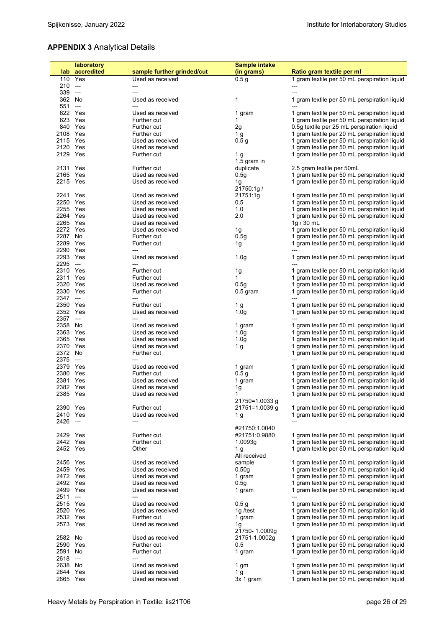# **APPENDIX 3** Analytical Details

|          | laboratory     |                            | Sample intake    |                                              |
|----------|----------------|----------------------------|------------------|----------------------------------------------|
|          | lab accredited | sample further grinded/cut | (in grams)       | Ratio gram textile per ml                    |
|          |                |                            |                  |                                              |
|          | 110 Yes        | Used as received           | 0.5 <sub>g</sub> | 1 gram textile per 50 mL perspiration liquid |
| $210 -$  |                | ---                        |                  |                                              |
| 339 ---  |                | ---                        |                  | ---                                          |
| 362 No   |                | Used as received           | 1                | 1 gram textile per 50 mL perspiration liquid |
|          |                |                            |                  |                                              |
| $551 -$  |                |                            |                  |                                              |
|          | 622 Yes        | Used as received           | 1 gram           | 1 gram textile per 50 mL perspiration liquid |
|          | 623 Yes        | Further cut                | 1                | 1 gram textile per 50 mL perspiration liquid |
|          |                |                            |                  |                                              |
|          | 840 Yes        | Further cut                | 2g               | 0.5g textile per 25 mL perspiration liquid   |
| 2108 Yes |                | Further cut                | 1 <sub>g</sub>   | 1 gram textile per 20 mL perspiration liquid |
| 2115 Yes |                | Used as received           | 0.5 <sub>g</sub> | 1 gram textile per 50 mL perspiration liquid |
|          |                |                            |                  |                                              |
| 2120 Yes |                | Used as received           |                  | 1 gram textile per 50 mL perspiration liquid |
| 2129 Yes |                | <b>Further cut</b>         | 1 g              | 1 gram textile per 50 mL perspiration liquid |
|          |                |                            | 1.5 gram in      |                                              |
| 2131 Yes |                | Further cut                | duplicate        | 2.5 gram textile per 50mL                    |
|          |                |                            |                  |                                              |
| 2165 Yes |                | Used as received           | 0.5g             | 1 gram textile per 50 mL perspiration liquid |
| 2215 Yes |                | Used as received           | 1g               | 1 gram textile per 50 mL perspiration liquid |
|          |                |                            | 21750:1g/        |                                              |
|          |                |                            |                  |                                              |
| 2241 Yes |                | Used as received           | 21751:1g         | 1 gram textile per 50 mL perspiration liquid |
| 2250 Yes |                | Used as received           | 0,5              | 1 gram textile per 50 mL perspiration liquid |
| 2255 Yes |                | Used as received           | 1.0              | 1 gram textile per 50 mL perspiration liquid |
| 2264 Yes |                | Used as received           | 2.0              | 1 gram textile per 50 mL perspiration liquid |
|          |                |                            |                  |                                              |
| 2265 Yes |                | Used as received           |                  | 1g / $30$ mL                                 |
| 2272 Yes |                | Used as received           | 1g               | 1 gram textile per 50 mL perspiration liquid |
| 2287 No  |                | Further cut                | 0.5q             | 1 gram textile per 50 mL perspiration liquid |
|          |                |                            |                  |                                              |
| 2289 Yes |                | Further cut                | 1g               | 1 gram textile per 50 mL perspiration liquid |
| 2290 Yes |                | $---$                      |                  |                                              |
| 2293 Yes |                | Used as received           | 1.0 <sub>g</sub> | 1 gram textile per 50 mL perspiration liquid |
|          |                |                            |                  |                                              |
| 2295 --- |                |                            |                  |                                              |
| 2310 Yes |                | Further cut                | 1g               | 1 gram textile per 50 mL perspiration liquid |
| 2311 Yes |                | Further cut                | 1                | 1 gram textile per 50 mL perspiration liquid |
| 2320 Yes |                | Used as received           | 0.5q             | 1 gram textile per 50 mL perspiration liquid |
|          |                |                            |                  |                                              |
| 2330 Yes |                | Further cut                | $0.5$ gram       | 1 gram textile per 50 mL perspiration liquid |
| 2347 --- |                | $---$                      |                  |                                              |
| 2350 Yes |                | Further cut                | 1 g              | 1 gram textile per 50 mL perspiration liquid |
|          |                |                            |                  |                                              |
| 2352 Yes |                | Used as received           | 1.0 <sub>q</sub> | 1 gram textile per 50 mL perspiration liquid |
| 2357 --- |                |                            |                  |                                              |
| 2358 No  |                | Used as received           | 1 gram           | 1 gram textile per 50 mL perspiration liquid |
| 2363 Yes |                | Used as received           | 1.0 <sub>g</sub> | 1 gram textile per 50 mL perspiration liquid |
|          |                |                            |                  |                                              |
| 2365 Yes |                | Used as received           | 1.0 <sub>g</sub> | 1 gram textile per 50 mL perspiration liquid |
| 2370 Yes |                | Used as received           | 1 g              | 1 gram textile per 50 mL perspiration liquid |
| 2372 No  |                | Further cut                |                  | 1 gram textile per 50 mL perspiration liquid |
|          |                |                            |                  |                                              |
| 2375 --- |                | $---$                      |                  |                                              |
| 2379 Yes |                | Used as received           | 1 gram           | 1 gram textile per 50 mL perspiration liquid |
| 2380 Yes |                | Further cut                | 0.5 <sub>g</sub> | 1 gram textile per 50 mL perspiration liquid |
| 2381 Yes |                | Used as received           | 1 gram           | 1 gram textile per 50 mL perspiration liquid |
|          |                |                            |                  |                                              |
| 2382 Yes |                | Used as received           | 1g               | 1 gram textile per 50 mL perspiration liquid |
| 2385 Yes |                | Used as received           | 1                | 1 gram textile per 50 mL perspiration liquid |
|          |                |                            | 21750=1.0033 q   |                                              |
|          |                |                            |                  |                                              |
| 2390 Yes |                | Further cut                | 21751=1.0039 g   | 1 gram textile per 50 mL perspiration liquid |
| 2410 Yes |                | Used as received           | 1 g              | 1 gram textile per 50 mL perspiration liquid |
| 2426 --- |                |                            |                  | ---                                          |
|          |                |                            | #21750:1.0040    |                                              |
|          |                |                            |                  |                                              |
| 2429 Yes |                | Further cut                | #21751:0.9880    | 1 gram textile per 50 mL perspiration liquid |
| 2442 Yes |                | Further cut                | 1.0093g          | 1 gram textile per 50 mL perspiration liquid |
| 2452 Yes |                | Other                      | 1 <sub>g</sub>   | 1 gram textile per 50 mL perspiration liquid |
|          |                |                            | All received     |                                              |
|          |                |                            |                  |                                              |
| 2456 Yes |                | Used as received           | sample           | 1 gram textile per 50 mL perspiration liquid |
| 2459 Yes |                | Used as received           | 0.50g            | 1 gram textile per 50 mL perspiration liquid |
| 2472 Yes |                | Used as received           | 1 gram           | 1 gram textile per 50 mL perspiration liquid |
|          |                |                            |                  |                                              |
| 2492 Yes |                | Used as received           | 0.5q             | 1 gram textile per 50 mL perspiration liquid |
| 2499 Yes |                | Used as received           | 1 gram           | 1 gram textile per 50 mL perspiration liquid |
| 2511 --- |                | ---                        |                  |                                              |
|          |                |                            |                  |                                              |
| 2515 Yes |                | Used as received           | 0.5 <sub>g</sub> | 1 gram textile per 50 mL perspiration liquid |
| 2520 Yes |                | Used as received           | 1g /test         | 1 gram textile per 50 mL perspiration liquid |
| 2532 Yes |                | Further cut                | 1 gram           | 1 gram textile per 50 mL perspiration liquid |
| 2573 Yes |                |                            |                  | 1 gram textile per 50 mL perspiration liquid |
|          |                | Used as received           | 1g               |                                              |
|          |                |                            | 21750-1.0009g    |                                              |
| 2582 No  |                | Used as received           | 21751-1.0002g    | 1 gram textile per 50 mL perspiration liquid |
| 2590 Yes |                | Further cut                | 0.5              | 1 gram textile per 50 mL perspiration liquid |
|          |                |                            |                  |                                              |
| 2591     | No             | Further cut                | 1 gram           | 1 gram textile per 50 mL perspiration liquid |
| 2618 --- |                | $---$                      |                  | ---                                          |
| 2638 No  |                | Used as received           | 1 gm             | 1 gram textile per 50 mL perspiration liquid |
|          |                |                            |                  | 1 gram textile per 50 mL perspiration liquid |
| 2644 Yes |                | Used as received           | 1 <sub>g</sub>   |                                              |
| 2665 Yes |                | Used as received           | 3x 1 gram        | 1 gram textile per 50 mL perspiration liquid |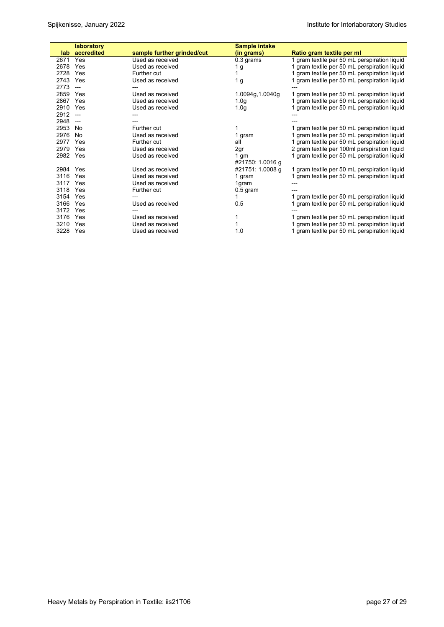|          | laboratory     |                            | <b>Sample intake</b> |                                              |
|----------|----------------|----------------------------|----------------------|----------------------------------------------|
| lab.     | accredited     | sample further grinded/cut | (in grams)           | Ratio gram textile per ml                    |
| 2671     | Yes            | Used as received           | 0.3 grams            | 1 gram textile per 50 mL perspiration liquid |
| 2678     | Yes            | Used as received           | 1 g                  | 1 gram textile per 50 mL perspiration liquid |
| 2728     | Yes            | Further cut                |                      | 1 gram textile per 50 mL perspiration liquid |
| 2743     | Yes            | Used as received           | 1 g                  | 1 gram textile per 50 mL perspiration liquid |
| 2773     | $\overline{a}$ |                            |                      |                                              |
| 2859     | Yes            | Used as received           | 1.0094g, 1.0040g     | 1 gram textile per 50 mL perspiration liquid |
| 2867     | Yes            | Used as received           | 1.0 <sub>g</sub>     | 1 gram textile per 50 mL perspiration liquid |
| 2910 Yes |                | Used as received           | 1.0 <sub>g</sub>     | 1 gram textile per 50 mL perspiration liquid |
| 2912     | $---$          |                            |                      |                                              |
| 2948     | $\overline{a}$ |                            |                      |                                              |
| 2953     | No             | Further cut                |                      | 1 gram textile per 50 mL perspiration liquid |
| 2976     | No             | Used as received           | 1 gram               | 1 gram textile per 50 mL perspiration liquid |
| 2977     | Yes            | Further cut                | all                  | 1 gram textile per 50 mL perspiration liquid |
| 2979     | Yes            | Used as received           | 2gr                  | 2 gram textile per 100ml perspiration liquid |
| 2982 Yes |                | Used as received           | 1 gm                 | 1 gram textile per 50 mL perspiration liquid |
|          |                |                            | #21750: 1.0016 g     |                                              |
| 2984 Yes |                | Used as received           | #21751: 1.0008 g     | 1 gram textile per 50 mL perspiration liquid |
| 3116 Yes |                | Used as received           | 1 gram               | 1 gram textile per 50 mL perspiration liquid |
| 3117 Yes |                | Used as received           | 1gram                |                                              |
| 3118 Yes |                | Further cut                | $0.5$ gram           |                                              |
| 3154     | Yes            |                            |                      | 1 gram textile per 50 mL perspiration liquid |
| 3166     | Yes            | Used as received           | 0.5                  | 1 gram textile per 50 mL perspiration liquid |
| 3172     | Yes            |                            |                      |                                              |
| 3176     | Yes            | Used as received           |                      | 1 gram textile per 50 mL perspiration liquid |
| 3210     | Yes            | Used as received           |                      | 1 gram textile per 50 mL perspiration liquid |
| 3228 Yes |                | Used as received           | 1.0                  | 1 gram textile per 50 mL perspiration liquid |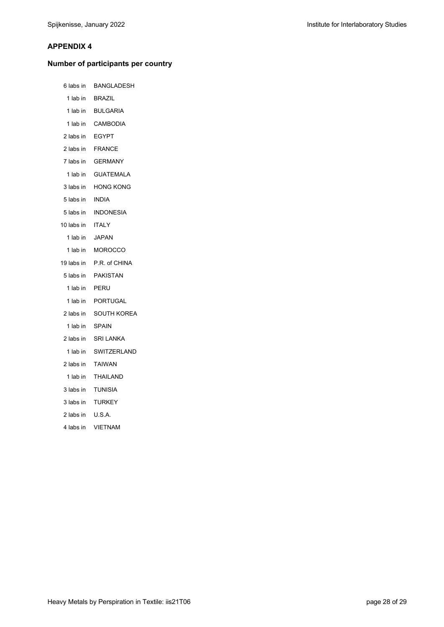#### **APPENDIX 4**

# **Number of participants per country**

| 6 labs in       | BANGLADESH               |
|-----------------|--------------------------|
|                 | 1 lab in BRAZIL          |
|                 | 1 lab in BULGARIA        |
|                 | 1 lab in CAMBODIA        |
| 2 labs in EGYPT |                          |
| 2 labs in       | FRANCE                   |
|                 | 7 labs in GERMANY        |
| 1 lab in        | <b>GUATEMALA</b>         |
| 3 labs in       | HONG KONG                |
| 5 labs in INDIA |                          |
| 5 labs in       | <b>INDONESIA</b>         |
| 10 labs in      | ITALY                    |
| 1 lab in        | <b>JAPAN</b>             |
| 1 lab in        | <b>MOROCCO</b>           |
|                 | 19 labs in P.R. of CHINA |
|                 |                          |
|                 | 5 labs in PAKISTAN       |
| 1 lab in        | PERU                     |
|                 | 1 lab in PORTUGAL        |
| 2 labs in       | SOUTH KOREA              |
| 1 lab in        | <b>SPAIN</b>             |
|                 | 2 labs in SRI LANKA      |
| 1 lab in        | SWITZERLAND              |
| 2 labs in       | <b>TAIWAN</b>            |
| 1 lab in        | <b>THAILAND</b>          |
| 3 labs in       | TUNISIA                  |
| 3 labs in       | <b>TURKEY</b>            |
| 2 labs in       | U.S.A.                   |